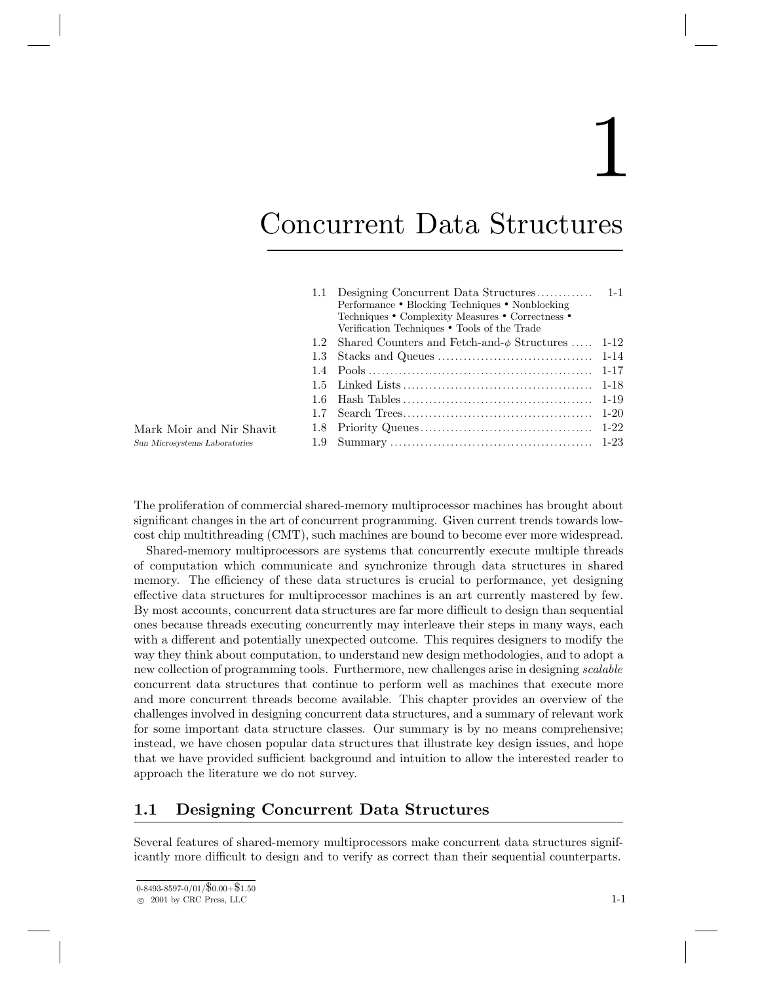# 1

## Concurrent Data Structures

|              |     | Performance • Blocking Techniques • Nonblocking            |  |
|--------------|-----|------------------------------------------------------------|--|
|              |     | Techniques • Complexity Measures • Correctness •           |  |
|              |     | Verification Techniques • Tools of the Trade               |  |
|              |     | 1.2 Shared Counters and Fetch-and- $\phi$ Structures  1-12 |  |
|              |     |                                                            |  |
|              |     |                                                            |  |
|              |     |                                                            |  |
|              |     |                                                            |  |
|              | 1.7 |                                                            |  |
| d Nir Shavit |     |                                                            |  |
| aboratories  |     |                                                            |  |

Mark Moir an Sun Microsystems L

The proliferation of commercial shared-memory multiprocessor machines has brought about significant changes in the art of concurrent programming. Given current trends towards lowcost chip multithreading (CMT), such machines are bound to become ever more widespread.

Shared-memory multiprocessors are systems that concurrently execute multiple threads of computation which communicate and synchronize through data structures in shared memory. The efficiency of these data structures is crucial to performance, yet designing effective data structures for multiprocessor machines is an art currently mastered by few. By most accounts, concurrent data structures are far more difficult to design than sequential ones because threads executing concurrently may interleave their steps in many ways, each with a different and potentially unexpected outcome. This requires designers to modify the way they think about computation, to understand new design methodologies, and to adopt a new collection of programming tools. Furthermore, new challenges arise in designing scalable concurrent data structures that continue to perform well as machines that execute more and more concurrent threads become available. This chapter provides an overview of the challenges involved in designing concurrent data structures, and a summary of relevant work for some important data structure classes. Our summary is by no means comprehensive; instead, we have chosen popular data structures that illustrate key design issues, and hope that we have provided sufficient background and intuition to allow the interested reader to approach the literature we do not survey.

#### 1.1 Designing Concurrent Data Structures

Several features of shared-memory multiprocessors make concurrent data structures significantly more difficult to design and to verify as correct than their sequential counterparts.

<sup>0-8493-8597-0/01/</sup>\$0.00+\$1.50

 $\odot$  2001 by CRC Press, LLC 1-1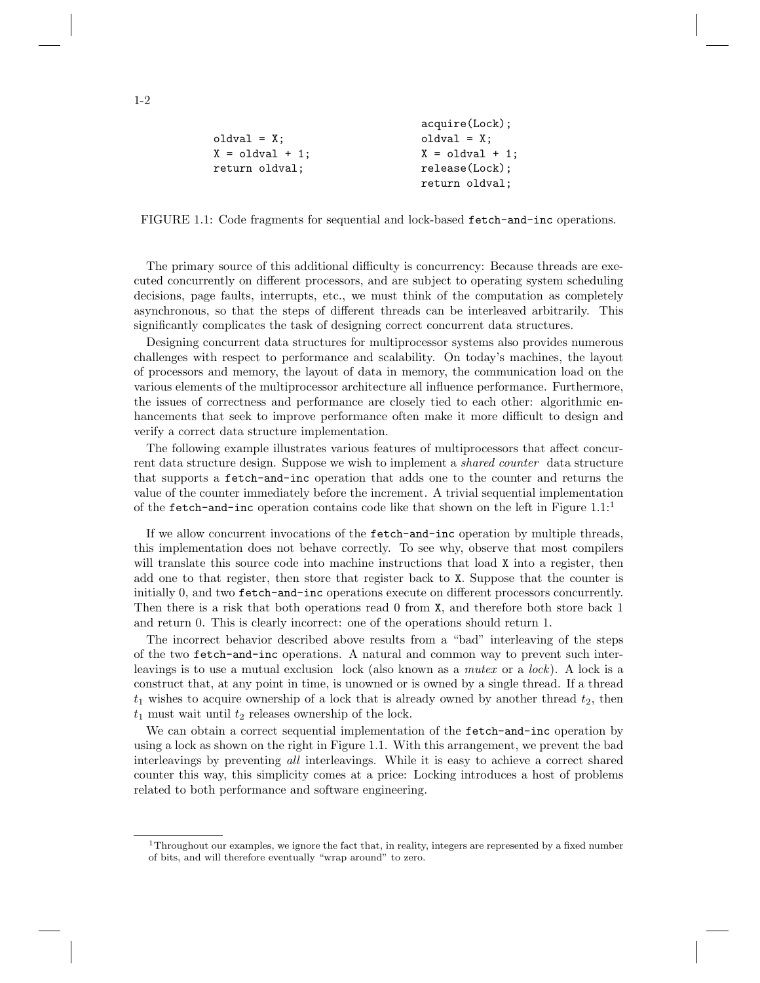|                    | acquire (Lock);    |
|--------------------|--------------------|
| $oldval = X:$      | $oldval = X$ :     |
| $X = oldval + 1$ : | $X = oldval + 1$ ; |
| return oldval;     | release(Lock);     |
|                    | return oldval;     |

FIGURE 1.1: Code fragments for sequential and lock-based fetch-and-inc operations.

The primary source of this additional difficulty is concurrency: Because threads are executed concurrently on different processors, and are subject to operating system scheduling decisions, page faults, interrupts, etc., we must think of the computation as completely asynchronous, so that the steps of different threads can be interleaved arbitrarily. This significantly complicates the task of designing correct concurrent data structures.

Designing concurrent data structures for multiprocessor systems also provides numerous challenges with respect to performance and scalability. On today's machines, the layout of processors and memory, the layout of data in memory, the communication load on the various elements of the multiprocessor architecture all influence performance. Furthermore, the issues of correctness and performance are closely tied to each other: algorithmic enhancements that seek to improve performance often make it more difficult to design and verify a correct data structure implementation.

The following example illustrates various features of multiprocessors that affect concurrent data structure design. Suppose we wish to implement a shared counter data structure that supports a fetch-and-inc operation that adds one to the counter and returns the value of the counter immediately before the increment. A trivial sequential implementation of the fetch-and-inc operation contains code like that shown on the left in Figure  $1.1<sup>1</sup>$ 

If we allow concurrent invocations of the fetch-and-inc operation by multiple threads, this implementation does not behave correctly. To see why, observe that most compilers will translate this source code into machine instructions that load **X** into a register, then add one to that register, then store that register back to X. Suppose that the counter is initially 0, and two fetch-and-inc operations execute on different processors concurrently. Then there is a risk that both operations read 0 from X, and therefore both store back 1 and return 0. This is clearly incorrect: one of the operations should return 1.

The incorrect behavior described above results from a "bad" interleaving of the steps of the two fetch-and-inc operations. A natural and common way to prevent such interleavings is to use a mutual exclusion lock (also known as a mutex or a lock). A lock is a construct that, at any point in time, is unowned or is owned by a single thread. If a thread  $t_1$  wishes to acquire ownership of a lock that is already owned by another thread  $t_2$ , then  $t_1$  must wait until  $t_2$  releases ownership of the lock.

We can obtain a correct sequential implementation of the fetch-and-inc operation by using a lock as shown on the right in Figure 1.1. With this arrangement, we prevent the bad interleavings by preventing all interleavings. While it is easy to achieve a correct shared counter this way, this simplicity comes at a price: Locking introduces a host of problems related to both performance and software engineering.

<sup>&</sup>lt;sup>1</sup>Throughout our examples, we ignore the fact that, in reality, integers are represented by a fixed number of bits, and will therefore eventually "wrap around" to zero.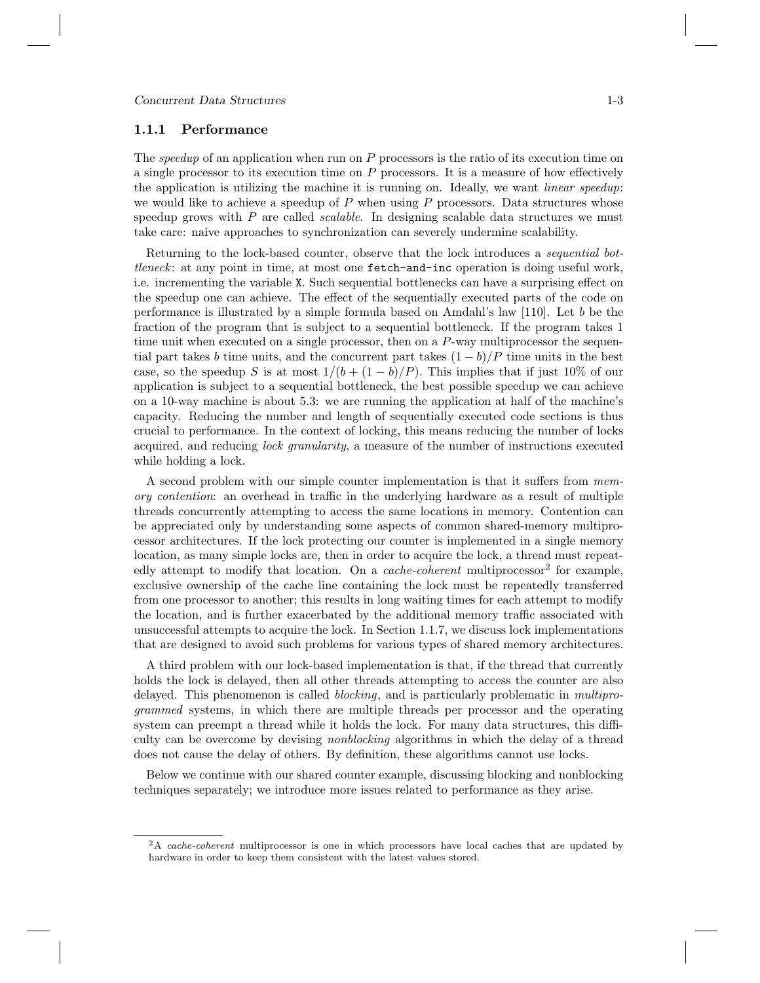#### 1.1.1 Performance

The *speedup* of an application when run on P processors is the ratio of its execution time on a single processor to its execution time on  $P$  processors. It is a measure of how effectively the application is utilizing the machine it is running on. Ideally, we want *linear speedup*: we would like to achieve a speedup of  $P$  when using  $P$  processors. Data structures whose speedup grows with  $P$  are called *scalable*. In designing scalable data structures we must take care: naive approaches to synchronization can severely undermine scalability.

Returning to the lock-based counter, observe that the lock introduces a *sequential bot*tleneck: at any point in time, at most one fetch-and-inc operation is doing useful work, i.e. incrementing the variable X. Such sequential bottlenecks can have a surprising effect on the speedup one can achieve. The effect of the sequentially executed parts of the code on performance is illustrated by a simple formula based on Amdahl's law [110]. Let b be the fraction of the program that is subject to a sequential bottleneck. If the program takes 1 time unit when executed on a single processor, then on a P-way multiprocessor the sequential part takes b time units, and the concurrent part takes  $(1 - b)/P$  time units in the best case, so the speedup S is at most  $1/(b + (1 - b)/P)$ . This implies that if just 10% of our application is subject to a sequential bottleneck, the best possible speedup we can achieve on a 10-way machine is about 5.3: we are running the application at half of the machine's capacity. Reducing the number and length of sequentially executed code sections is thus crucial to performance. In the context of locking, this means reducing the number of locks acquired, and reducing lock granularity, a measure of the number of instructions executed while holding a lock.

A second problem with our simple counter implementation is that it suffers from memory contention: an overhead in traffic in the underlying hardware as a result of multiple threads concurrently attempting to access the same locations in memory. Contention can be appreciated only by understanding some aspects of common shared-memory multiprocessor architectures. If the lock protecting our counter is implemented in a single memory location, as many simple locks are, then in order to acquire the lock, a thread must repeatedly attempt to modify that location. On a *cache-coherent* multiprocessor<sup>2</sup> for example, exclusive ownership of the cache line containing the lock must be repeatedly transferred from one processor to another; this results in long waiting times for each attempt to modify the location, and is further exacerbated by the additional memory traffic associated with unsuccessful attempts to acquire the lock. In Section 1.1.7, we discuss lock implementations that are designed to avoid such problems for various types of shared memory architectures.

A third problem with our lock-based implementation is that, if the thread that currently holds the lock is delayed, then all other threads attempting to access the counter are also delayed. This phenomenon is called *blocking*, and is particularly problematic in multiprogrammed systems, in which there are multiple threads per processor and the operating system can preempt a thread while it holds the lock. For many data structures, this difficulty can be overcome by devising nonblocking algorithms in which the delay of a thread does not cause the delay of others. By definition, these algorithms cannot use locks.

Below we continue with our shared counter example, discussing blocking and nonblocking techniques separately; we introduce more issues related to performance as they arise.

 $2A$  *cache-coherent* multiprocessor is one in which processors have local caches that are updated by hardware in order to keep them consistent with the latest values stored.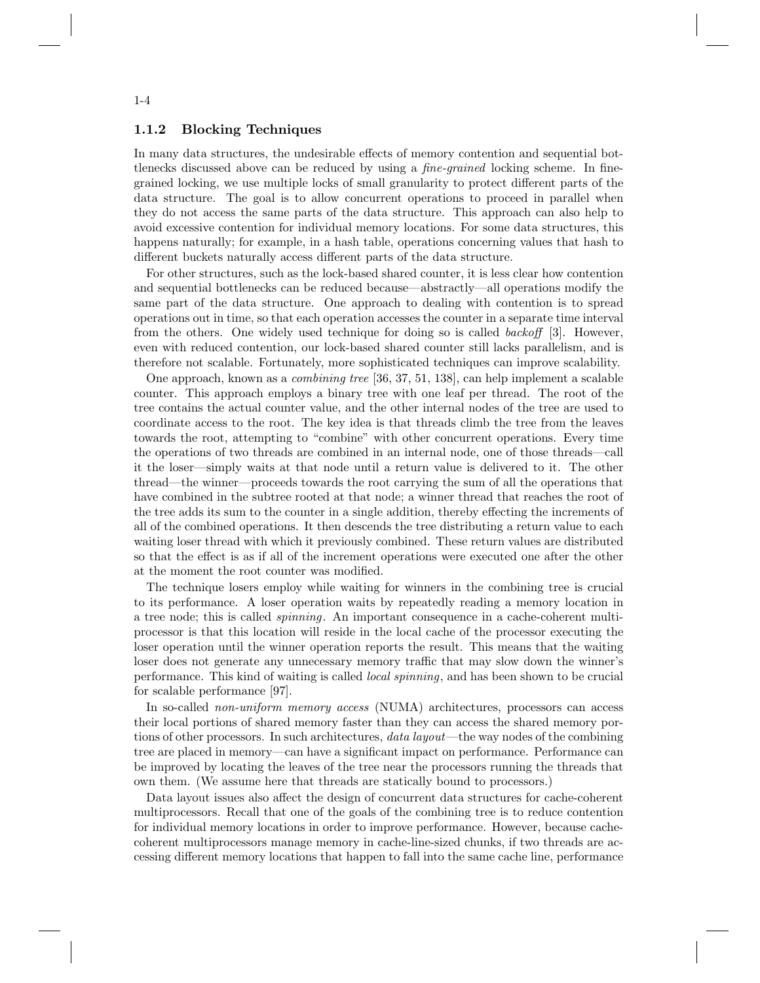#### 1.1.2 Blocking Techniques

In many data structures, the undesirable effects of memory contention and sequential bottlenecks discussed above can be reduced by using a fine-grained locking scheme. In finegrained locking, we use multiple locks of small granularity to protect different parts of the data structure. The goal is to allow concurrent operations to proceed in parallel when they do not access the same parts of the data structure. This approach can also help to avoid excessive contention for individual memory locations. For some data structures, this happens naturally; for example, in a hash table, operations concerning values that hash to different buckets naturally access different parts of the data structure.

For other structures, such as the lock-based shared counter, it is less clear how contention and sequential bottlenecks can be reduced because—abstractly—all operations modify the same part of the data structure. One approach to dealing with contention is to spread operations out in time, so that each operation accesses the counter in a separate time interval from the others. One widely used technique for doing so is called *backoff* [3]. However, even with reduced contention, our lock-based shared counter still lacks parallelism, and is therefore not scalable. Fortunately, more sophisticated techniques can improve scalability.

One approach, known as a combining tree [36, 37, 51, 138], can help implement a scalable counter. This approach employs a binary tree with one leaf per thread. The root of the tree contains the actual counter value, and the other internal nodes of the tree are used to coordinate access to the root. The key idea is that threads climb the tree from the leaves towards the root, attempting to "combine" with other concurrent operations. Every time the operations of two threads are combined in an internal node, one of those threads—call it the loser—simply waits at that node until a return value is delivered to it. The other thread—the winner—proceeds towards the root carrying the sum of all the operations that have combined in the subtree rooted at that node; a winner thread that reaches the root of the tree adds its sum to the counter in a single addition, thereby effecting the increments of all of the combined operations. It then descends the tree distributing a return value to each waiting loser thread with which it previously combined. These return values are distributed so that the effect is as if all of the increment operations were executed one after the other at the moment the root counter was modified.

The technique losers employ while waiting for winners in the combining tree is crucial to its performance. A loser operation waits by repeatedly reading a memory location in a tree node; this is called spinning. An important consequence in a cache-coherent multiprocessor is that this location will reside in the local cache of the processor executing the loser operation until the winner operation reports the result. This means that the waiting loser does not generate any unnecessary memory traffic that may slow down the winner's performance. This kind of waiting is called local spinning, and has been shown to be crucial for scalable performance [97].

In so-called non-uniform memory access (NUMA) architectures, processors can access their local portions of shared memory faster than they can access the shared memory portions of other processors. In such architectures, data layout—the way nodes of the combining tree are placed in memory—can have a significant impact on performance. Performance can be improved by locating the leaves of the tree near the processors running the threads that own them. (We assume here that threads are statically bound to processors.)

Data layout issues also affect the design of concurrent data structures for cache-coherent multiprocessors. Recall that one of the goals of the combining tree is to reduce contention for individual memory locations in order to improve performance. However, because cachecoherent multiprocessors manage memory in cache-line-sized chunks, if two threads are accessing different memory locations that happen to fall into the same cache line, performance

#### 1-4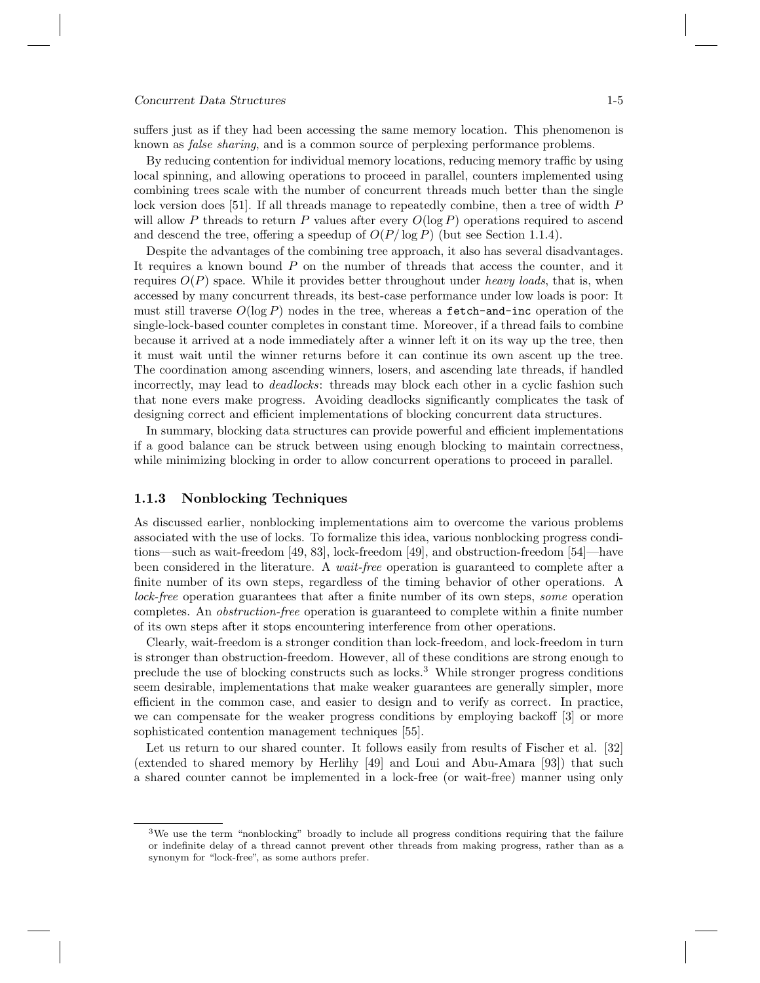suffers just as if they had been accessing the same memory location. This phenomenon is known as false sharing, and is a common source of perplexing performance problems.

By reducing contention for individual memory locations, reducing memory traffic by using local spinning, and allowing operations to proceed in parallel, counters implemented using combining trees scale with the number of concurrent threads much better than the single lock version does [51]. If all threads manage to repeatedly combine, then a tree of width P will allow P threads to return P values after every  $O(\log P)$  operations required to ascend and descend the tree, offering a speedup of  $O(P/\log P)$  (but see Section 1.1.4).

Despite the advantages of the combining tree approach, it also has several disadvantages. It requires a known bound P on the number of threads that access the counter, and it requires  $O(P)$  space. While it provides better throughout under heavy loads, that is, when accessed by many concurrent threads, its best-case performance under low loads is poor: It must still traverse  $O(\log P)$  nodes in the tree, whereas a fetch-and-inc operation of the single-lock-based counter completes in constant time. Moreover, if a thread fails to combine because it arrived at a node immediately after a winner left it on its way up the tree, then it must wait until the winner returns before it can continue its own ascent up the tree. The coordination among ascending winners, losers, and ascending late threads, if handled incorrectly, may lead to *deadlocks*: threads may block each other in a cyclic fashion such that none evers make progress. Avoiding deadlocks significantly complicates the task of designing correct and efficient implementations of blocking concurrent data structures.

In summary, blocking data structures can provide powerful and efficient implementations if a good balance can be struck between using enough blocking to maintain correctness, while minimizing blocking in order to allow concurrent operations to proceed in parallel.

#### 1.1.3 Nonblocking Techniques

As discussed earlier, nonblocking implementations aim to overcome the various problems associated with the use of locks. To formalize this idea, various nonblocking progress conditions—such as wait-freedom [49, 83], lock-freedom [49], and obstruction-freedom [54]—have been considered in the literature. A *wait-free* operation is guaranteed to complete after a finite number of its own steps, regardless of the timing behavior of other operations. A lock-free operation guarantees that after a finite number of its own steps, some operation completes. An *obstruction-free* operation is guaranteed to complete within a finite number of its own steps after it stops encountering interference from other operations.

Clearly, wait-freedom is a stronger condition than lock-freedom, and lock-freedom in turn is stronger than obstruction-freedom. However, all of these conditions are strong enough to preclude the use of blocking constructs such as locks.<sup>3</sup> While stronger progress conditions seem desirable, implementations that make weaker guarantees are generally simpler, more efficient in the common case, and easier to design and to verify as correct. In practice, we can compensate for the weaker progress conditions by employing backoff [3] or more sophisticated contention management techniques [55].

Let us return to our shared counter. It follows easily from results of Fischer et al. [32] (extended to shared memory by Herlihy [49] and Loui and Abu-Amara [93]) that such a shared counter cannot be implemented in a lock-free (or wait-free) manner using only

<sup>&</sup>lt;sup>3</sup>We use the term "nonblocking" broadly to include all progress conditions requiring that the failure or indefinite delay of a thread cannot prevent other threads from making progress, rather than as a synonym for "lock-free", as some authors prefer.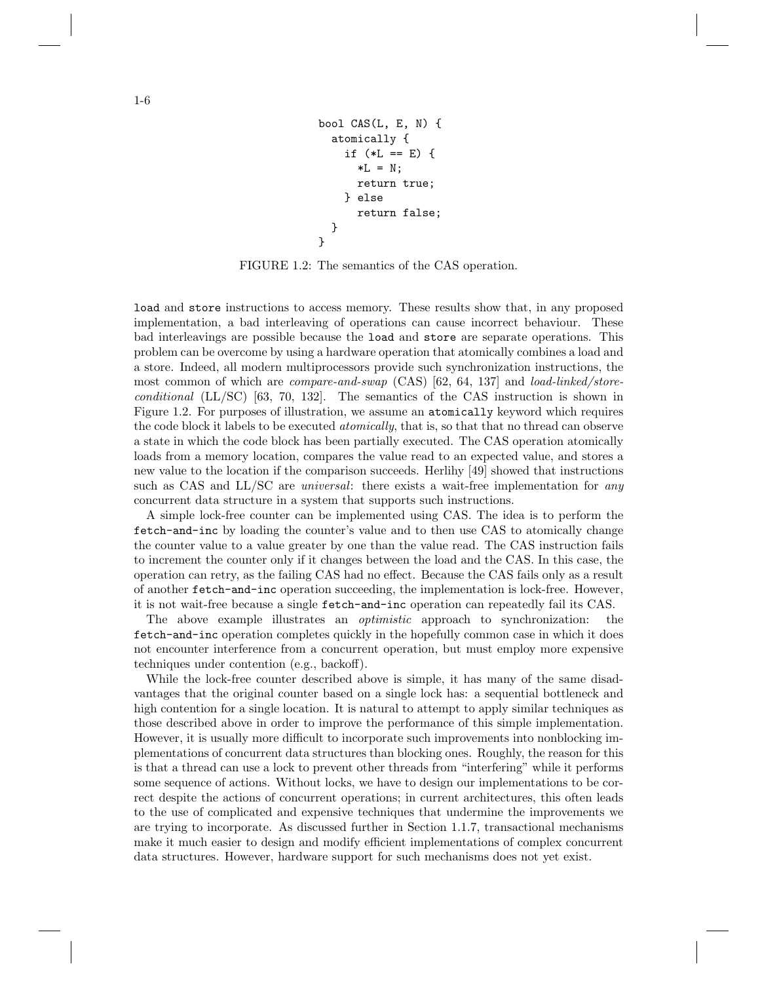```
bool CAS(L, E, N) {
  atomically {
    if (*L == E) {
      *L = N;
      return true;
    } else
      return false;
  }
}
```
FIGURE 1.2: The semantics of the CAS operation.

load and store instructions to access memory. These results show that, in any proposed implementation, a bad interleaving of operations can cause incorrect behaviour. These bad interleavings are possible because the load and store are separate operations. This problem can be overcome by using a hardware operation that atomically combines a load and a store. Indeed, all modern multiprocessors provide such synchronization instructions, the most common of which are *compare-and-swap* (CAS) [62, 64, 137] and *load-linked/store*conditional  $(\text{LL/SC})$  [63, 70, 132]. The semantics of the CAS instruction is shown in Figure 1.2. For purposes of illustration, we assume an atomically keyword which requires the code block it labels to be executed *atomically*, that is, so that that no thread can observe a state in which the code block has been partially executed. The CAS operation atomically loads from a memory location, compares the value read to an expected value, and stores a new value to the location if the comparison succeeds. Herlihy [49] showed that instructions such as CAS and LL/SC are *universal*: there exists a wait-free implementation for any concurrent data structure in a system that supports such instructions.

A simple lock-free counter can be implemented using CAS. The idea is to perform the fetch-and-inc by loading the counter's value and to then use CAS to atomically change the counter value to a value greater by one than the value read. The CAS instruction fails to increment the counter only if it changes between the load and the CAS. In this case, the operation can retry, as the failing CAS had no effect. Because the CAS fails only as a result of another fetch-and-inc operation succeeding, the implementation is lock-free. However, it is not wait-free because a single fetch-and-inc operation can repeatedly fail its CAS.

The above example illustrates an optimistic approach to synchronization: the fetch-and-inc operation completes quickly in the hopefully common case in which it does not encounter interference from a concurrent operation, but must employ more expensive techniques under contention (e.g., backoff).

While the lock-free counter described above is simple, it has many of the same disadvantages that the original counter based on a single lock has: a sequential bottleneck and high contention for a single location. It is natural to attempt to apply similar techniques as those described above in order to improve the performance of this simple implementation. However, it is usually more difficult to incorporate such improvements into nonblocking implementations of concurrent data structures than blocking ones. Roughly, the reason for this is that a thread can use a lock to prevent other threads from "interfering" while it performs some sequence of actions. Without locks, we have to design our implementations to be correct despite the actions of concurrent operations; in current architectures, this often leads to the use of complicated and expensive techniques that undermine the improvements we are trying to incorporate. As discussed further in Section 1.1.7, transactional mechanisms make it much easier to design and modify efficient implementations of complex concurrent data structures. However, hardware support for such mechanisms does not yet exist.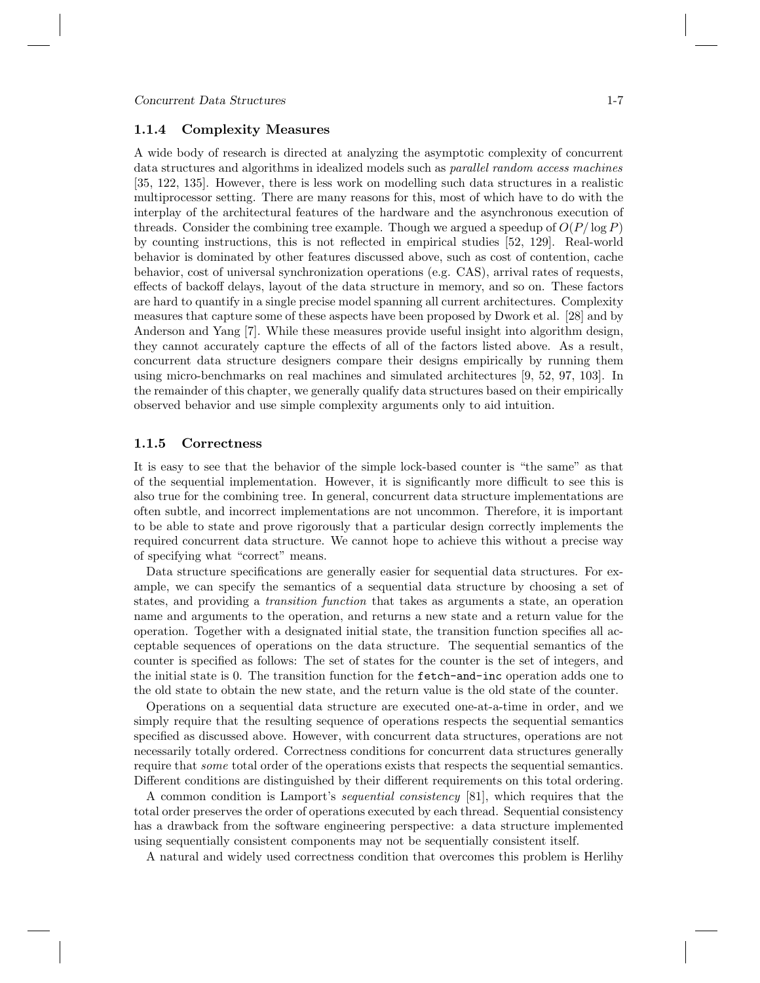#### 1.1.4 Complexity Measures

A wide body of research is directed at analyzing the asymptotic complexity of concurrent data structures and algorithms in idealized models such as *parallel random access machines* [35, 122, 135]. However, there is less work on modelling such data structures in a realistic multiprocessor setting. There are many reasons for this, most of which have to do with the interplay of the architectural features of the hardware and the asynchronous execution of threads. Consider the combining tree example. Though we argued a speedup of  $O(P/\log P)$ by counting instructions, this is not reflected in empirical studies [52, 129]. Real-world behavior is dominated by other features discussed above, such as cost of contention, cache behavior, cost of universal synchronization operations (e.g. CAS), arrival rates of requests, effects of backoff delays, layout of the data structure in memory, and so on. These factors are hard to quantify in a single precise model spanning all current architectures. Complexity measures that capture some of these aspects have been proposed by Dwork et al. [28] and by Anderson and Yang [7]. While these measures provide useful insight into algorithm design, they cannot accurately capture the effects of all of the factors listed above. As a result, concurrent data structure designers compare their designs empirically by running them using micro-benchmarks on real machines and simulated architectures [9, 52, 97, 103]. In the remainder of this chapter, we generally qualify data structures based on their empirically observed behavior and use simple complexity arguments only to aid intuition.

#### 1.1.5 Correctness

It is easy to see that the behavior of the simple lock-based counter is "the same" as that of the sequential implementation. However, it is significantly more difficult to see this is also true for the combining tree. In general, concurrent data structure implementations are often subtle, and incorrect implementations are not uncommon. Therefore, it is important to be able to state and prove rigorously that a particular design correctly implements the required concurrent data structure. We cannot hope to achieve this without a precise way of specifying what "correct" means.

Data structure specifications are generally easier for sequential data structures. For example, we can specify the semantics of a sequential data structure by choosing a set of states, and providing a transition function that takes as arguments a state, an operation name and arguments to the operation, and returns a new state and a return value for the operation. Together with a designated initial state, the transition function specifies all acceptable sequences of operations on the data structure. The sequential semantics of the counter is specified as follows: The set of states for the counter is the set of integers, and the initial state is 0. The transition function for the fetch-and-inc operation adds one to the old state to obtain the new state, and the return value is the old state of the counter.

Operations on a sequential data structure are executed one-at-a-time in order, and we simply require that the resulting sequence of operations respects the sequential semantics specified as discussed above. However, with concurrent data structures, operations are not necessarily totally ordered. Correctness conditions for concurrent data structures generally require that some total order of the operations exists that respects the sequential semantics. Different conditions are distinguished by their different requirements on this total ordering.

A common condition is Lamport's sequential consistency [81], which requires that the total order preserves the order of operations executed by each thread. Sequential consistency has a drawback from the software engineering perspective: a data structure implemented using sequentially consistent components may not be sequentially consistent itself.

A natural and widely used correctness condition that overcomes this problem is Herlihy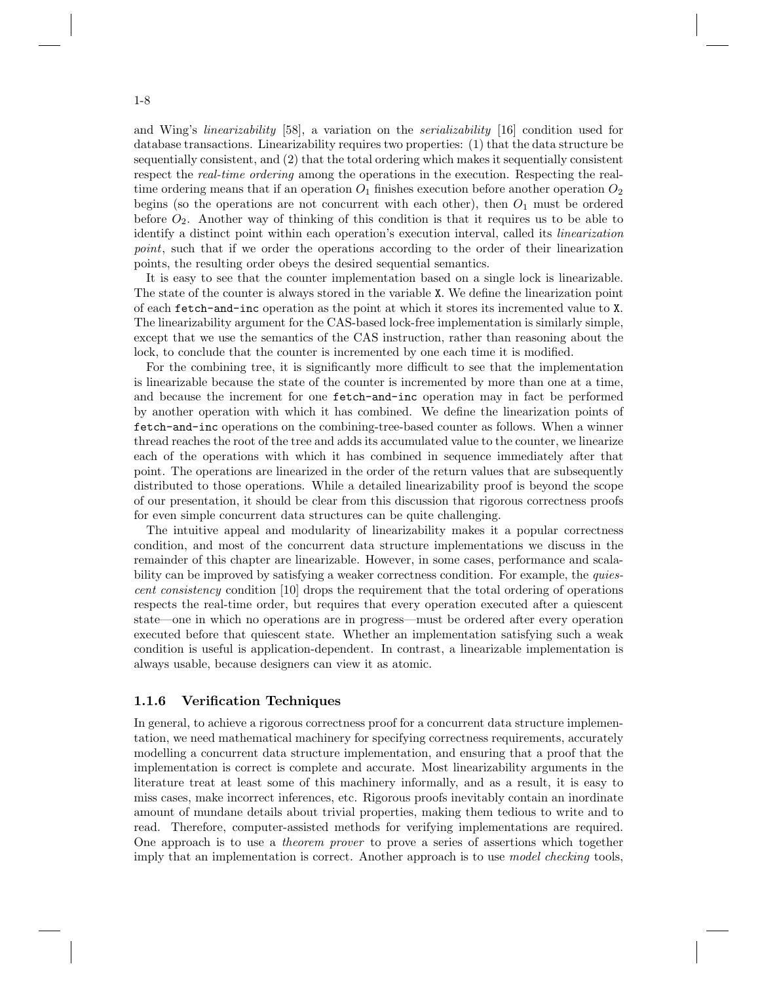and Wing's linearizability [58], a variation on the serializability [16] condition used for database transactions. Linearizability requires two properties: (1) that the data structure be sequentially consistent, and (2) that the total ordering which makes it sequentially consistent respect the *real-time ordering* among the operations in the execution. Respecting the realtime ordering means that if an operation  $O_1$  finishes execution before another operation  $O_2$ begins (so the operations are not concurrent with each other), then  $O_1$  must be ordered before  $O_2$ . Another way of thinking of this condition is that it requires us to be able to identify a distinct point within each operation's execution interval, called its linearization point, such that if we order the operations according to the order of their linearization points, the resulting order obeys the desired sequential semantics.

It is easy to see that the counter implementation based on a single lock is linearizable. The state of the counter is always stored in the variable X. We define the linearization point of each fetch-and-inc operation as the point at which it stores its incremented value to X. The linearizability argument for the CAS-based lock-free implementation is similarly simple, except that we use the semantics of the CAS instruction, rather than reasoning about the lock, to conclude that the counter is incremented by one each time it is modified.

For the combining tree, it is significantly more difficult to see that the implementation is linearizable because the state of the counter is incremented by more than one at a time, and because the increment for one fetch-and-inc operation may in fact be performed by another operation with which it has combined. We define the linearization points of fetch-and-inc operations on the combining-tree-based counter as follows. When a winner thread reaches the root of the tree and adds its accumulated value to the counter, we linearize each of the operations with which it has combined in sequence immediately after that point. The operations are linearized in the order of the return values that are subsequently distributed to those operations. While a detailed linearizability proof is beyond the scope of our presentation, it should be clear from this discussion that rigorous correctness proofs for even simple concurrent data structures can be quite challenging.

The intuitive appeal and modularity of linearizability makes it a popular correctness condition, and most of the concurrent data structure implementations we discuss in the remainder of this chapter are linearizable. However, in some cases, performance and scalability can be improved by satisfying a weaker correctness condition. For example, the quiescent consistency condition [10] drops the requirement that the total ordering of operations respects the real-time order, but requires that every operation executed after a quiescent state—one in which no operations are in progress—must be ordered after every operation executed before that quiescent state. Whether an implementation satisfying such a weak condition is useful is application-dependent. In contrast, a linearizable implementation is always usable, because designers can view it as atomic.

#### 1.1.6 Verification Techniques

In general, to achieve a rigorous correctness proof for a concurrent data structure implementation, we need mathematical machinery for specifying correctness requirements, accurately modelling a concurrent data structure implementation, and ensuring that a proof that the implementation is correct is complete and accurate. Most linearizability arguments in the literature treat at least some of this machinery informally, and as a result, it is easy to miss cases, make incorrect inferences, etc. Rigorous proofs inevitably contain an inordinate amount of mundane details about trivial properties, making them tedious to write and to read. Therefore, computer-assisted methods for verifying implementations are required. One approach is to use a theorem prover to prove a series of assertions which together imply that an implementation is correct. Another approach is to use *model checking* tools,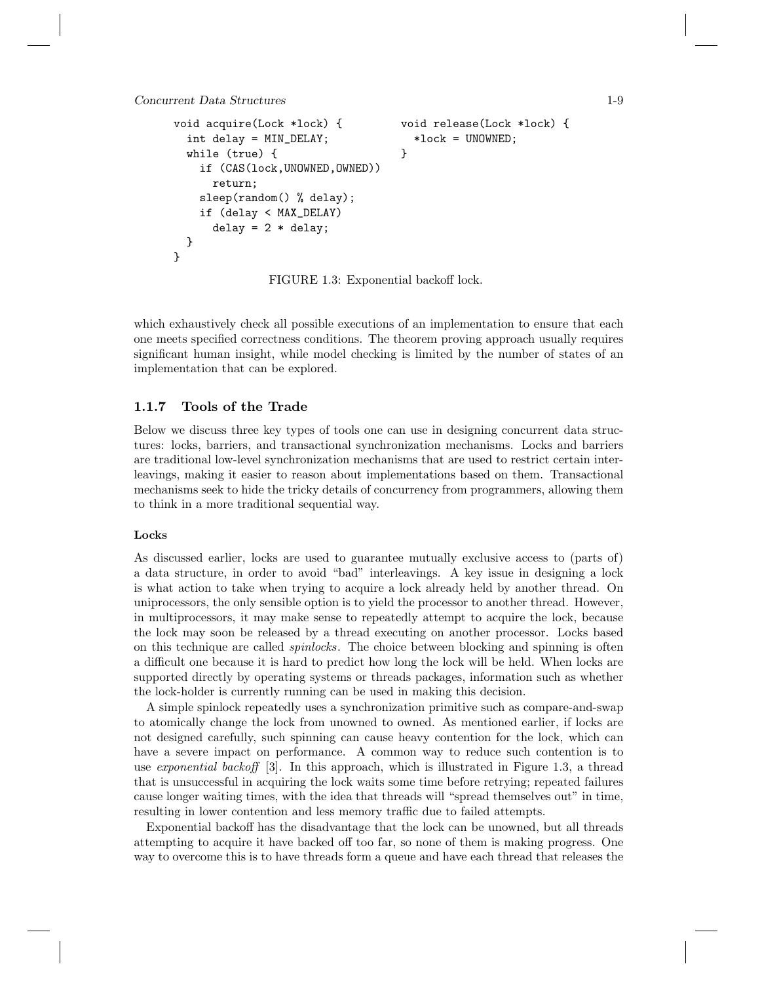```
void acquire(Lock *lock) { void release(Lock *lock) {
 int delay = MIN_DELAY; *lock = UNOWNED;while (true) { \}if (CAS(lock,UNOWNED,OWNED))
     return;
   sleep(random() % delay);
   if (delay < MAX_DELAY)
     delay = 2 * delay;}
}
```
FIGURE 1.3: Exponential backoff lock.

which exhaustively check all possible executions of an implementation to ensure that each one meets specified correctness conditions. The theorem proving approach usually requires significant human insight, while model checking is limited by the number of states of an implementation that can be explored.

#### 1.1.7 Tools of the Trade

Below we discuss three key types of tools one can use in designing concurrent data structures: locks, barriers, and transactional synchronization mechanisms. Locks and barriers are traditional low-level synchronization mechanisms that are used to restrict certain interleavings, making it easier to reason about implementations based on them. Transactional mechanisms seek to hide the tricky details of concurrency from programmers, allowing them to think in a more traditional sequential way.

#### Locks

As discussed earlier, locks are used to guarantee mutually exclusive access to (parts of) a data structure, in order to avoid "bad" interleavings. A key issue in designing a lock is what action to take when trying to acquire a lock already held by another thread. On uniprocessors, the only sensible option is to yield the processor to another thread. However, in multiprocessors, it may make sense to repeatedly attempt to acquire the lock, because the lock may soon be released by a thread executing on another processor. Locks based on this technique are called spinlocks. The choice between blocking and spinning is often a difficult one because it is hard to predict how long the lock will be held. When locks are supported directly by operating systems or threads packages, information such as whether the lock-holder is currently running can be used in making this decision.

A simple spinlock repeatedly uses a synchronization primitive such as compare-and-swap to atomically change the lock from unowned to owned. As mentioned earlier, if locks are not designed carefully, such spinning can cause heavy contention for the lock, which can have a severe impact on performance. A common way to reduce such contention is to use *exponential backoff* [3]. In this approach, which is illustrated in Figure 1.3, a thread that is unsuccessful in acquiring the lock waits some time before retrying; repeated failures cause longer waiting times, with the idea that threads will "spread themselves out" in time, resulting in lower contention and less memory traffic due to failed attempts.

Exponential backoff has the disadvantage that the lock can be unowned, but all threads attempting to acquire it have backed off too far, so none of them is making progress. One way to overcome this is to have threads form a queue and have each thread that releases the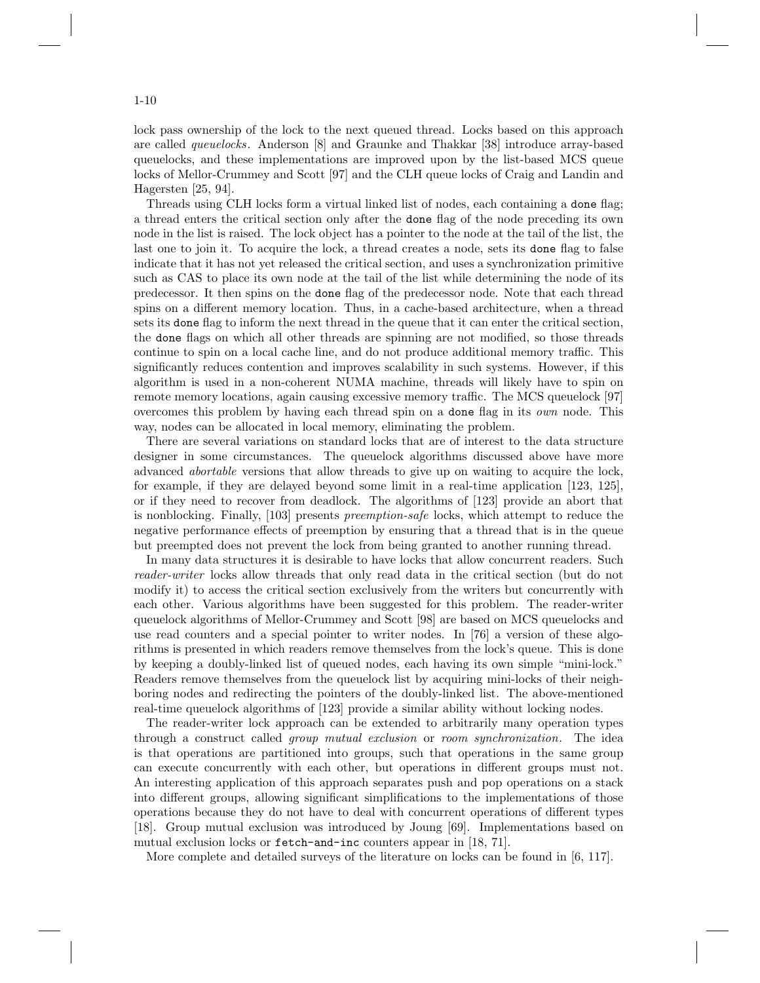lock pass ownership of the lock to the next queued thread. Locks based on this approach are called queuelocks. Anderson [8] and Graunke and Thakkar [38] introduce array-based queuelocks, and these implementations are improved upon by the list-based MCS queue locks of Mellor-Crummey and Scott [97] and the CLH queue locks of Craig and Landin and Hagersten [25, 94].

Threads using CLH locks form a virtual linked list of nodes, each containing a done flag; a thread enters the critical section only after the done flag of the node preceding its own node in the list is raised. The lock object has a pointer to the node at the tail of the list, the last one to join it. To acquire the lock, a thread creates a node, sets its done flag to false indicate that it has not yet released the critical section, and uses a synchronization primitive such as CAS to place its own node at the tail of the list while determining the node of its predecessor. It then spins on the done flag of the predecessor node. Note that each thread spins on a different memory location. Thus, in a cache-based architecture, when a thread sets its done flag to inform the next thread in the queue that it can enter the critical section, the done flags on which all other threads are spinning are not modified, so those threads continue to spin on a local cache line, and do not produce additional memory traffic. This significantly reduces contention and improves scalability in such systems. However, if this algorithm is used in a non-coherent NUMA machine, threads will likely have to spin on remote memory locations, again causing excessive memory traffic. The MCS queuelock [97] overcomes this problem by having each thread spin on a done flag in its own node. This way, nodes can be allocated in local memory, eliminating the problem.

There are several variations on standard locks that are of interest to the data structure designer in some circumstances. The queuelock algorithms discussed above have more advanced *abortable* versions that allow threads to give up on waiting to acquire the lock, for example, if they are delayed beyond some limit in a real-time application [123, 125], or if they need to recover from deadlock. The algorithms of [123] provide an abort that is nonblocking. Finally, [103] presents preemption-safe locks, which attempt to reduce the negative performance effects of preemption by ensuring that a thread that is in the queue but preempted does not prevent the lock from being granted to another running thread.

In many data structures it is desirable to have locks that allow concurrent readers. Such reader-writer locks allow threads that only read data in the critical section (but do not modify it) to access the critical section exclusively from the writers but concurrently with each other. Various algorithms have been suggested for this problem. The reader-writer queuelock algorithms of Mellor-Crummey and Scott [98] are based on MCS queuelocks and use read counters and a special pointer to writer nodes. In [76] a version of these algorithms is presented in which readers remove themselves from the lock's queue. This is done by keeping a doubly-linked list of queued nodes, each having its own simple "mini-lock." Readers remove themselves from the queuelock list by acquiring mini-locks of their neighboring nodes and redirecting the pointers of the doubly-linked list. The above-mentioned real-time queuelock algorithms of [123] provide a similar ability without locking nodes.

The reader-writer lock approach can be extended to arbitrarily many operation types through a construct called *group mutual exclusion* or *room synchronization*. The idea is that operations are partitioned into groups, such that operations in the same group can execute concurrently with each other, but operations in different groups must not. An interesting application of this approach separates push and pop operations on a stack into different groups, allowing significant simplifications to the implementations of those operations because they do not have to deal with concurrent operations of different types [18]. Group mutual exclusion was introduced by Joung [69]. Implementations based on mutual exclusion locks or fetch-and-inc counters appear in [18, 71].

More complete and detailed surveys of the literature on locks can be found in [6, 117].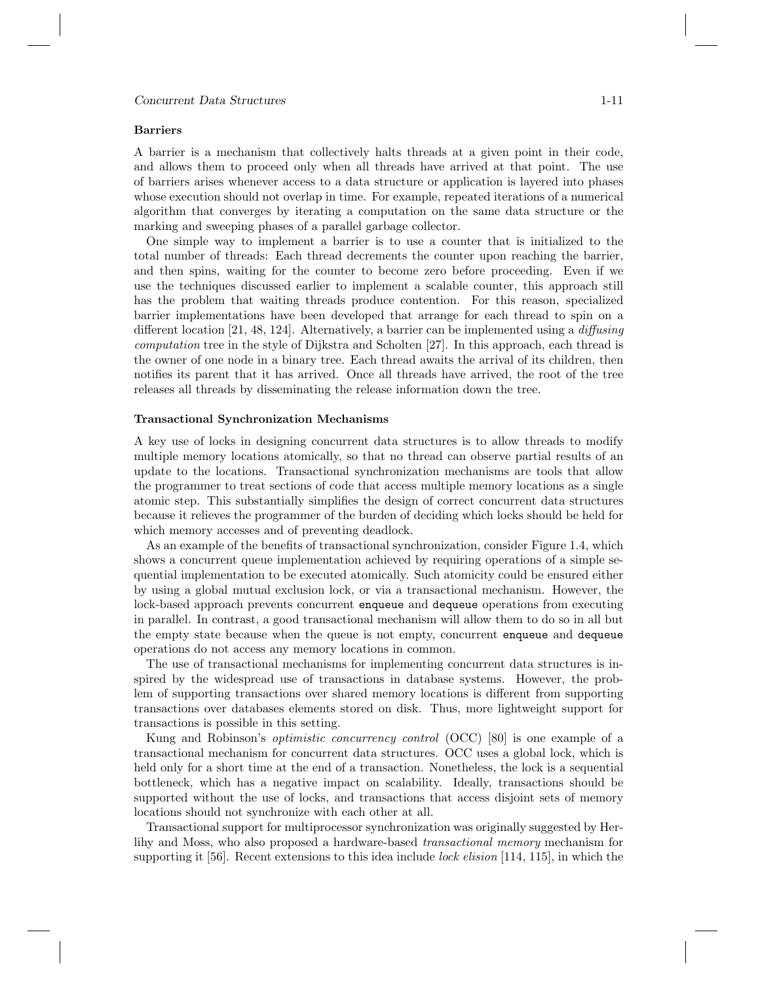#### Barriers

A barrier is a mechanism that collectively halts threads at a given point in their code, and allows them to proceed only when all threads have arrived at that point. The use of barriers arises whenever access to a data structure or application is layered into phases whose execution should not overlap in time. For example, repeated iterations of a numerical algorithm that converges by iterating a computation on the same data structure or the marking and sweeping phases of a parallel garbage collector.

One simple way to implement a barrier is to use a counter that is initialized to the total number of threads: Each thread decrements the counter upon reaching the barrier, and then spins, waiting for the counter to become zero before proceeding. Even if we use the techniques discussed earlier to implement a scalable counter, this approach still has the problem that waiting threads produce contention. For this reason, specialized barrier implementations have been developed that arrange for each thread to spin on a different location [21, 48, 124]. Alternatively, a barrier can be implemented using a  $diffusing$ computation tree in the style of Dijkstra and Scholten [27]. In this approach, each thread is the owner of one node in a binary tree. Each thread awaits the arrival of its children, then notifies its parent that it has arrived. Once all threads have arrived, the root of the tree releases all threads by disseminating the release information down the tree.

#### Transactional Synchronization Mechanisms

A key use of locks in designing concurrent data structures is to allow threads to modify multiple memory locations atomically, so that no thread can observe partial results of an update to the locations. Transactional synchronization mechanisms are tools that allow the programmer to treat sections of code that access multiple memory locations as a single atomic step. This substantially simplifies the design of correct concurrent data structures because it relieves the programmer of the burden of deciding which locks should be held for which memory accesses and of preventing deadlock.

As an example of the benefits of transactional synchronization, consider Figure 1.4, which shows a concurrent queue implementation achieved by requiring operations of a simple sequential implementation to be executed atomically. Such atomicity could be ensured either by using a global mutual exclusion lock, or via a transactional mechanism. However, the lock-based approach prevents concurrent enqueue and dequeue operations from executing in parallel. In contrast, a good transactional mechanism will allow them to do so in all but the empty state because when the queue is not empty, concurrent enqueue and dequeue operations do not access any memory locations in common.

The use of transactional mechanisms for implementing concurrent data structures is inspired by the widespread use of transactions in database systems. However, the problem of supporting transactions over shared memory locations is different from supporting transactions over databases elements stored on disk. Thus, more lightweight support for transactions is possible in this setting.

Kung and Robinson's optimistic concurrency control (OCC) [80] is one example of a transactional mechanism for concurrent data structures. OCC uses a global lock, which is held only for a short time at the end of a transaction. Nonetheless, the lock is a sequential bottleneck, which has a negative impact on scalability. Ideally, transactions should be supported without the use of locks, and transactions that access disjoint sets of memory locations should not synchronize with each other at all.

Transactional support for multiprocessor synchronization was originally suggested by Herlihy and Moss, who also proposed a hardware-based transactional memory mechanism for supporting it [56]. Recent extensions to this idea include *lock elision* [114, 115], in which the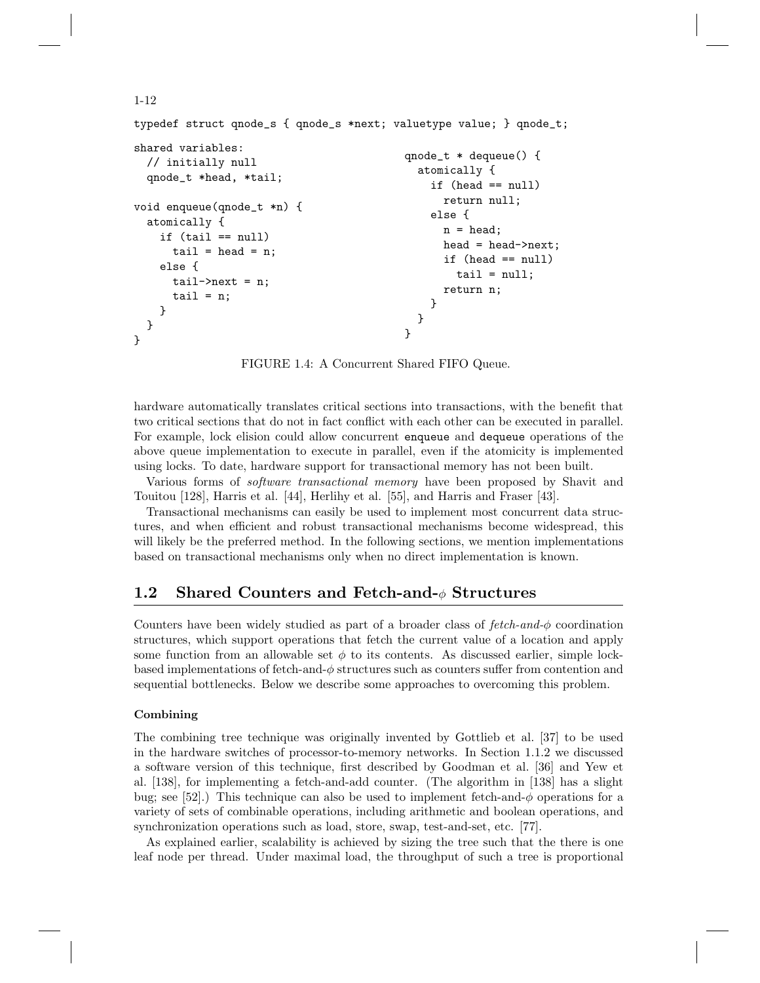```
typedef struct qnode_s { qnode_s *next; valuetype value; } qnode_t;
shared variables:
  // initially null
  qnode_t *head, *tail;
void enqueue(qnode_t *n) {
  atomically {
    if (tail == null)tail = head = n;else {
      tail->next = n;
      tail = n;}
  }
}
                                           qnode_t * dequeue() {
                                             atomically {
                                               if (head == null)
                                                 return null;
                                               else {
                                                 n = head;head = head->next;
                                                 if (head == null)
                                                   tail = null;return n;
                                               }
                                             }
                                           }
```
FIGURE 1.4: A Concurrent Shared FIFO Queue.

hardware automatically translates critical sections into transactions, with the benefit that two critical sections that do not in fact conflict with each other can be executed in parallel. For example, lock elision could allow concurrent enqueue and dequeue operations of the above queue implementation to execute in parallel, even if the atomicity is implemented using locks. To date, hardware support for transactional memory has not been built.

Various forms of software transactional memory have been proposed by Shavit and Touitou [128], Harris et al. [44], Herlihy et al. [55], and Harris and Fraser [43].

Transactional mechanisms can easily be used to implement most concurrent data structures, and when efficient and robust transactional mechanisms become widespread, this will likely be the preferred method. In the following sections, we mention implementations based on transactional mechanisms only when no direct implementation is known.

#### 1.2 Shared Counters and Fetch-and- $\phi$  Structures

Counters have been widely studied as part of a broader class of  $f,$ etch-and- $\phi$  coordination structures, which support operations that fetch the current value of a location and apply some function from an allowable set  $\phi$  to its contents. As discussed earlier, simple lockbased implementations of fetch-and- $\phi$  structures such as counters suffer from contention and sequential bottlenecks. Below we describe some approaches to overcoming this problem.

#### Combining

1-12

The combining tree technique was originally invented by Gottlieb et al. [37] to be used in the hardware switches of processor-to-memory networks. In Section 1.1.2 we discussed a software version of this technique, first described by Goodman et al. [36] and Yew et al. [138], for implementing a fetch-and-add counter. (The algorithm in [138] has a slight bug; see [52].) This technique can also be used to implement fetch-and- $\phi$  operations for a variety of sets of combinable operations, including arithmetic and boolean operations, and synchronization operations such as load, store, swap, test-and-set, etc. [77].

As explained earlier, scalability is achieved by sizing the tree such that the there is one leaf node per thread. Under maximal load, the throughput of such a tree is proportional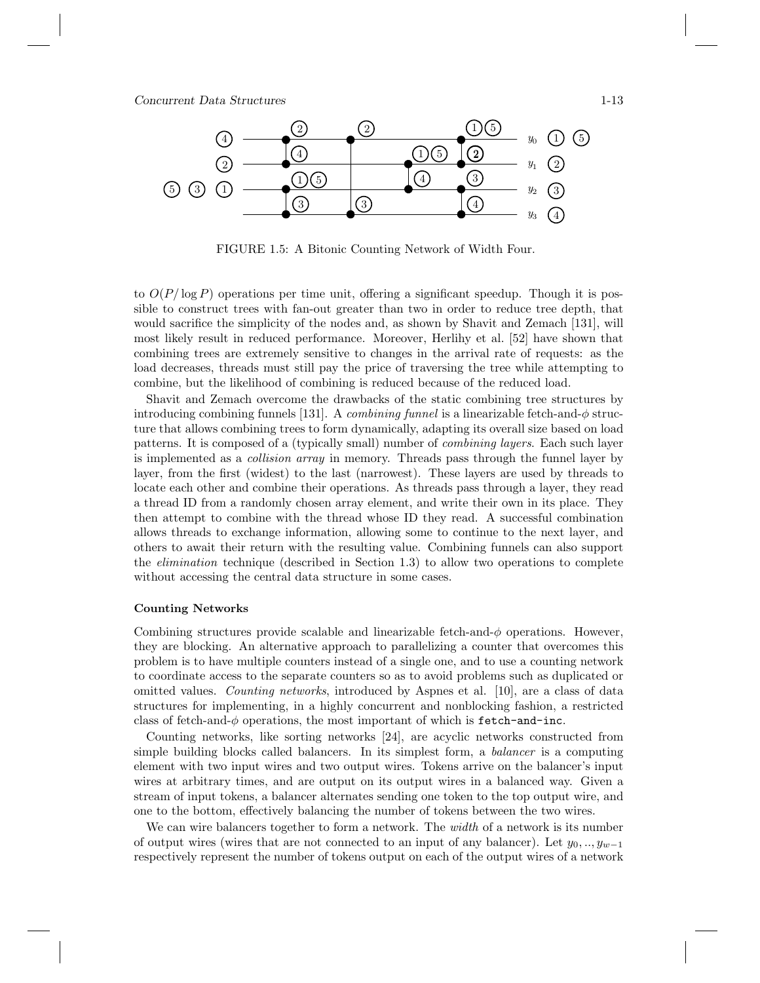

FIGURE 1.5: A Bitonic Counting Network of Width Four.

to  $O(P/\log P)$  operations per time unit, offering a significant speedup. Though it is possible to construct trees with fan-out greater than two in order to reduce tree depth, that would sacrifice the simplicity of the nodes and, as shown by Shavit and Zemach [131], will most likely result in reduced performance. Moreover, Herlihy et al. [52] have shown that combining trees are extremely sensitive to changes in the arrival rate of requests: as the load decreases, threads must still pay the price of traversing the tree while attempting to combine, but the likelihood of combining is reduced because of the reduced load.

Shavit and Zemach overcome the drawbacks of the static combining tree structures by introducing combining funnels [131]. A *combining funnel* is a linearizable fetch-and- $\phi$  structure that allows combining trees to form dynamically, adapting its overall size based on load patterns. It is composed of a (typically small) number of combining layers. Each such layer is implemented as a *collision array* in memory. Threads pass through the funnel layer by layer, from the first (widest) to the last (narrowest). These layers are used by threads to locate each other and combine their operations. As threads pass through a layer, they read a thread ID from a randomly chosen array element, and write their own in its place. They then attempt to combine with the thread whose ID they read. A successful combination allows threads to exchange information, allowing some to continue to the next layer, and others to await their return with the resulting value. Combining funnels can also support the *elimination* technique (described in Section 1.3) to allow two operations to complete without accessing the central data structure in some cases.

#### Counting Networks

Combining structures provide scalable and linearizable fetch-and- $\phi$  operations. However, they are blocking. An alternative approach to parallelizing a counter that overcomes this problem is to have multiple counters instead of a single one, and to use a counting network to coordinate access to the separate counters so as to avoid problems such as duplicated or omitted values. Counting networks, introduced by Aspnes et al. [10], are a class of data structures for implementing, in a highly concurrent and nonblocking fashion, a restricted class of fetch-and- $\phi$  operations, the most important of which is fetch-and-inc.

Counting networks, like sorting networks [24], are acyclic networks constructed from simple building blocks called balancers. In its simplest form, a *balancer* is a computing element with two input wires and two output wires. Tokens arrive on the balancer's input wires at arbitrary times, and are output on its output wires in a balanced way. Given a stream of input tokens, a balancer alternates sending one token to the top output wire, and one to the bottom, effectively balancing the number of tokens between the two wires.

We can wire balancers together to form a network. The *width* of a network is its number of output wires (wires that are not connected to an input of any balancer). Let  $y_0, \ldots, y_{w-1}$ respectively represent the number of tokens output on each of the output wires of a network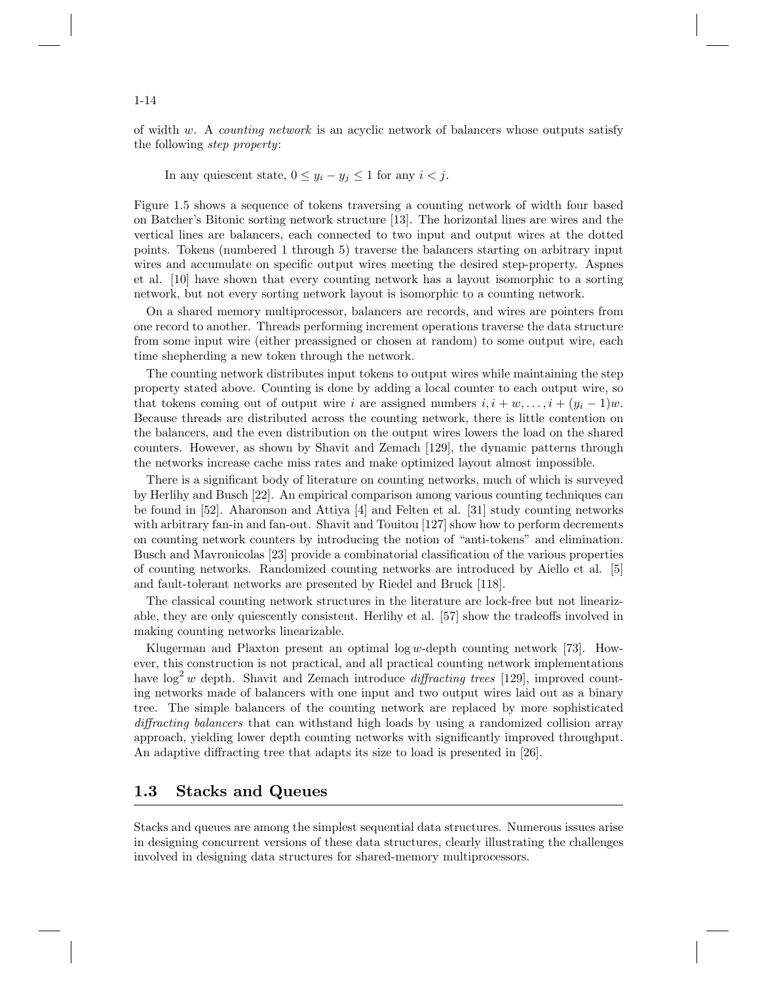of width w. A *counting network* is an acyclic network of balancers whose outputs satisfy the following step property:

In any quiescent state,  $0 \le y_i - y_j \le 1$  for any  $i < j$ .

Figure 1.5 shows a sequence of tokens traversing a counting network of width four based on Batcher's Bitonic sorting network structure [13]. The horizontal lines are wires and the vertical lines are balancers, each connected to two input and output wires at the dotted points. Tokens (numbered 1 through 5) traverse the balancers starting on arbitrary input wires and accumulate on specific output wires meeting the desired step-property. Aspnes et al. [10] have shown that every counting network has a layout isomorphic to a sorting network, but not every sorting network layout is isomorphic to a counting network.

On a shared memory multiprocessor, balancers are records, and wires are pointers from one record to another. Threads performing increment operations traverse the data structure from some input wire (either preassigned or chosen at random) to some output wire, each time shepherding a new token through the network.

The counting network distributes input tokens to output wires while maintaining the step property stated above. Counting is done by adding a local counter to each output wire, so that tokens coming out of output wire i are assigned numbers  $i, i + w, \ldots, i + (y_i - 1)w$ . Because threads are distributed across the counting network, there is little contention on the balancers, and the even distribution on the output wires lowers the load on the shared counters. However, as shown by Shavit and Zemach [129], the dynamic patterns through the networks increase cache miss rates and make optimized layout almost impossible.

There is a significant body of literature on counting networks, much of which is surveyed by Herlihy and Busch [22]. An empirical comparison among various counting techniques can be found in [52]. Aharonson and Attiya [4] and Felten et al. [31] study counting networks with arbitrary fan-in and fan-out. Shavit and Touitou [127] show how to perform decrements on counting network counters by introducing the notion of "anti-tokens" and elimination. Busch and Mavronicolas [23] provide a combinatorial classification of the various properties of counting networks. Randomized counting networks are introduced by Aiello et al. [5] and fault-tolerant networks are presented by Riedel and Bruck [118].

The classical counting network structures in the literature are lock-free but not linearizable, they are only quiescently consistent. Herlihy et al. [57] show the tradeoffs involved in making counting networks linearizable.

Klugerman and Plaxton present an optimal log w-depth counting network  $[73]$ . However, this construction is not practical, and all practical counting network implementations have  $\log^2 w$  depth. Shavit and Zemach introduce *diffracting trees* [129], improved counting networks made of balancers with one input and two output wires laid out as a binary tree. The simple balancers of the counting network are replaced by more sophisticated diffracting balancers that can withstand high loads by using a randomized collision array approach, yielding lower depth counting networks with significantly improved throughput. An adaptive diffracting tree that adapts its size to load is presented in [26].

### 1.3 Stacks and Queues

Stacks and queues are among the simplest sequential data structures. Numerous issues arise in designing concurrent versions of these data structures, clearly illustrating the challenges involved in designing data structures for shared-memory multiprocessors.

#### 1-14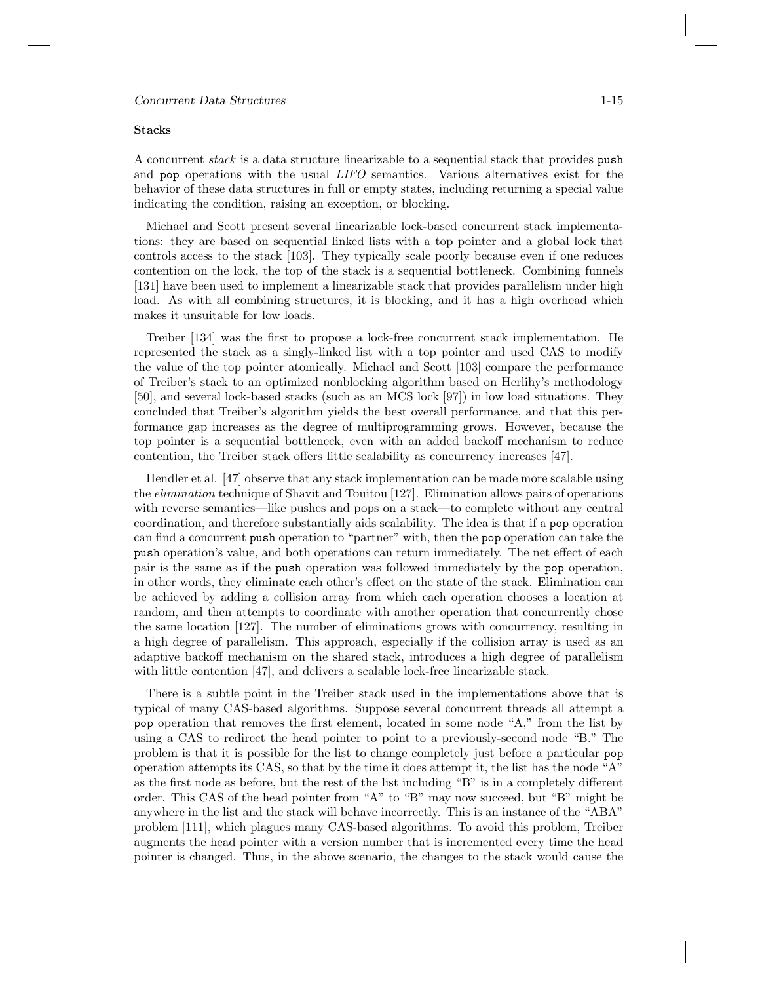#### Stacks

A concurrent stack is a data structure linearizable to a sequential stack that provides push and pop operations with the usual LIFO semantics. Various alternatives exist for the behavior of these data structures in full or empty states, including returning a special value indicating the condition, raising an exception, or blocking.

Michael and Scott present several linearizable lock-based concurrent stack implementations: they are based on sequential linked lists with a top pointer and a global lock that controls access to the stack [103]. They typically scale poorly because even if one reduces contention on the lock, the top of the stack is a sequential bottleneck. Combining funnels [131] have been used to implement a linearizable stack that provides parallelism under high load. As with all combining structures, it is blocking, and it has a high overhead which makes it unsuitable for low loads.

Treiber [134] was the first to propose a lock-free concurrent stack implementation. He represented the stack as a singly-linked list with a top pointer and used CAS to modify the value of the top pointer atomically. Michael and Scott [103] compare the performance of Treiber's stack to an optimized nonblocking algorithm based on Herlihy's methodology [50], and several lock-based stacks (such as an MCS lock [97]) in low load situations. They concluded that Treiber's algorithm yields the best overall performance, and that this performance gap increases as the degree of multiprogramming grows. However, because the top pointer is a sequential bottleneck, even with an added backoff mechanism to reduce contention, the Treiber stack offers little scalability as concurrency increases [47].

Hendler et al. [47] observe that any stack implementation can be made more scalable using the *elimination* technique of Shavit and Touitou [127]. Elimination allows pairs of operations with reverse semantics—like pushes and pops on a stack—to complete without any central coordination, and therefore substantially aids scalability. The idea is that if a pop operation can find a concurrent push operation to "partner" with, then the pop operation can take the push operation's value, and both operations can return immediately. The net effect of each pair is the same as if the push operation was followed immediately by the pop operation, in other words, they eliminate each other's effect on the state of the stack. Elimination can be achieved by adding a collision array from which each operation chooses a location at random, and then attempts to coordinate with another operation that concurrently chose the same location [127]. The number of eliminations grows with concurrency, resulting in a high degree of parallelism. This approach, especially if the collision array is used as an adaptive backoff mechanism on the shared stack, introduces a high degree of parallelism with little contention [47], and delivers a scalable lock-free linearizable stack.

There is a subtle point in the Treiber stack used in the implementations above that is typical of many CAS-based algorithms. Suppose several concurrent threads all attempt a pop operation that removes the first element, located in some node "A," from the list by using a CAS to redirect the head pointer to point to a previously-second node "B." The problem is that it is possible for the list to change completely just before a particular pop operation attempts its CAS, so that by the time it does attempt it, the list has the node "A" as the first node as before, but the rest of the list including "B" is in a completely different order. This CAS of the head pointer from "A" to "B" may now succeed, but "B" might be anywhere in the list and the stack will behave incorrectly. This is an instance of the "ABA" problem [111], which plagues many CAS-based algorithms. To avoid this problem, Treiber augments the head pointer with a version number that is incremented every time the head pointer is changed. Thus, in the above scenario, the changes to the stack would cause the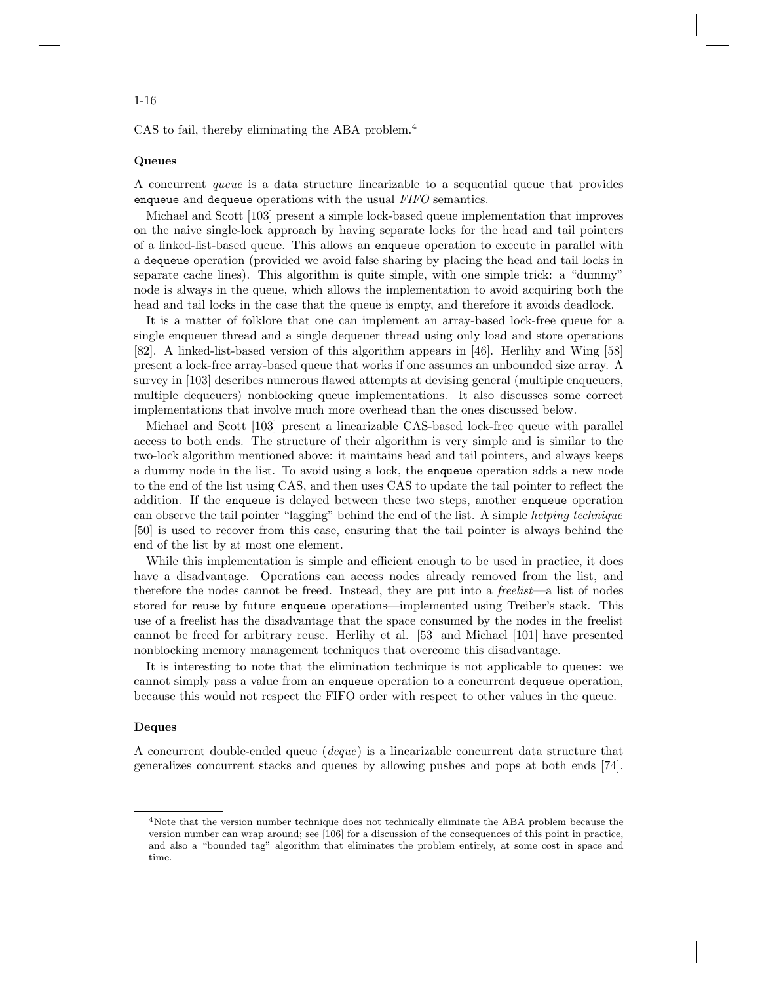#### CAS to fail, thereby eliminating the ABA problem.<sup>4</sup>

#### **Queues**

A concurrent queue is a data structure linearizable to a sequential queue that provides enqueue and dequeue operations with the usual FIFO semantics.

Michael and Scott [103] present a simple lock-based queue implementation that improves on the naive single-lock approach by having separate locks for the head and tail pointers of a linked-list-based queue. This allows an enqueue operation to execute in parallel with a dequeue operation (provided we avoid false sharing by placing the head and tail locks in separate cache lines). This algorithm is quite simple, with one simple trick: a "dummy" node is always in the queue, which allows the implementation to avoid acquiring both the head and tail locks in the case that the queue is empty, and therefore it avoids deadlock.

It is a matter of folklore that one can implement an array-based lock-free queue for a single enqueuer thread and a single dequeuer thread using only load and store operations [82]. A linked-list-based version of this algorithm appears in [46]. Herlihy and Wing [58] present a lock-free array-based queue that works if one assumes an unbounded size array. A survey in [103] describes numerous flawed attempts at devising general (multiple enqueuers, multiple dequeuers) nonblocking queue implementations. It also discusses some correct implementations that involve much more overhead than the ones discussed below.

Michael and Scott [103] present a linearizable CAS-based lock-free queue with parallel access to both ends. The structure of their algorithm is very simple and is similar to the two-lock algorithm mentioned above: it maintains head and tail pointers, and always keeps a dummy node in the list. To avoid using a lock, the enqueue operation adds a new node to the end of the list using CAS, and then uses CAS to update the tail pointer to reflect the addition. If the enqueue is delayed between these two steps, another enqueue operation can observe the tail pointer "lagging" behind the end of the list. A simple helping technique [50] is used to recover from this case, ensuring that the tail pointer is always behind the end of the list by at most one element.

While this implementation is simple and efficient enough to be used in practice, it does have a disadvantage. Operations can access nodes already removed from the list, and therefore the nodes cannot be freed. Instead, they are put into a freelist—a list of nodes stored for reuse by future enqueue operations—implemented using Treiber's stack. This use of a freelist has the disadvantage that the space consumed by the nodes in the freelist cannot be freed for arbitrary reuse. Herlihy et al. [53] and Michael [101] have presented nonblocking memory management techniques that overcome this disadvantage.

It is interesting to note that the elimination technique is not applicable to queues: we cannot simply pass a value from an enqueue operation to a concurrent dequeue operation, because this would not respect the FIFO order with respect to other values in the queue.

#### Deques

A concurrent double-ended queue (deque) is a linearizable concurrent data structure that generalizes concurrent stacks and queues by allowing pushes and pops at both ends [74].

#### 1-16

<sup>4</sup>Note that the version number technique does not technically eliminate the ABA problem because the version number can wrap around; see [106] for a discussion of the consequences of this point in practice, and also a "bounded tag" algorithm that eliminates the problem entirely, at some cost in space and time.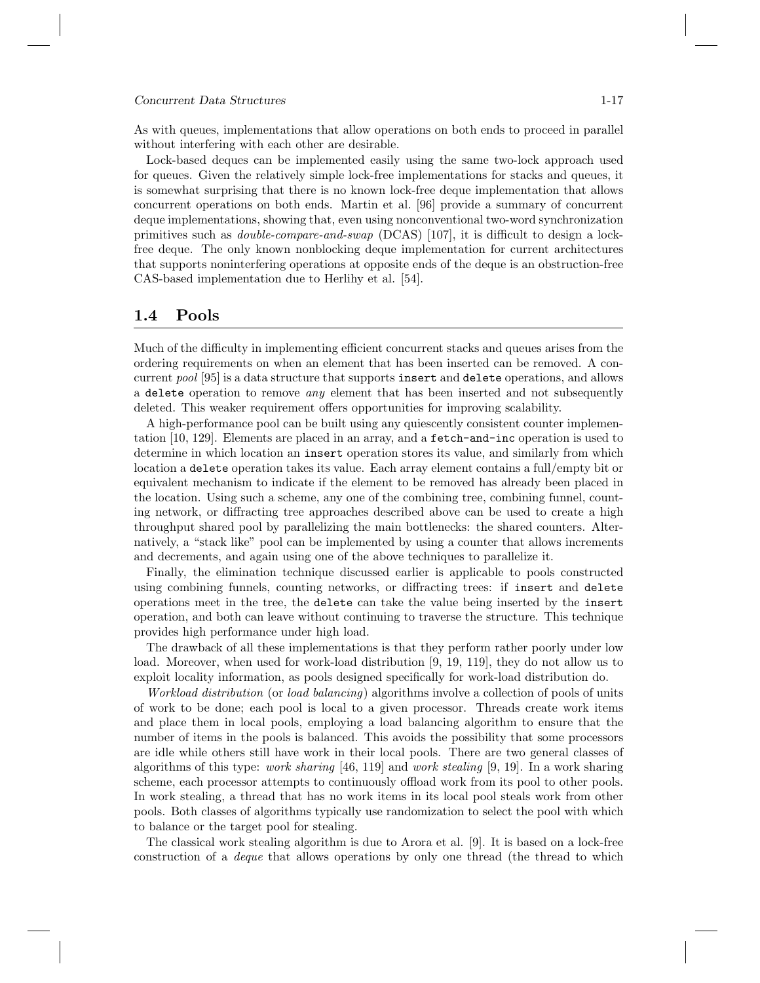As with queues, implementations that allow operations on both ends to proceed in parallel without interfering with each other are desirable.

Lock-based deques can be implemented easily using the same two-lock approach used for queues. Given the relatively simple lock-free implementations for stacks and queues, it is somewhat surprising that there is no known lock-free deque implementation that allows concurrent operations on both ends. Martin et al. [96] provide a summary of concurrent deque implementations, showing that, even using nonconventional two-word synchronization primitives such as double-compare-and-swap (DCAS) [107], it is difficult to design a lockfree deque. The only known nonblocking deque implementation for current architectures that supports noninterfering operations at opposite ends of the deque is an obstruction-free CAS-based implementation due to Herlihy et al. [54].

#### 1.4 Pools

Much of the difficulty in implementing efficient concurrent stacks and queues arises from the ordering requirements on when an element that has been inserted can be removed. A concurrent pool [95] is a data structure that supports insert and delete operations, and allows a delete operation to remove *any* element that has been inserted and not subsequently deleted. This weaker requirement offers opportunities for improving scalability.

A high-performance pool can be built using any quiescently consistent counter implementation [10, 129]. Elements are placed in an array, and a fetch-and-inc operation is used to determine in which location an insert operation stores its value, and similarly from which location a delete operation takes its value. Each array element contains a full/empty bit or equivalent mechanism to indicate if the element to be removed has already been placed in the location. Using such a scheme, any one of the combining tree, combining funnel, counting network, or diffracting tree approaches described above can be used to create a high throughput shared pool by parallelizing the main bottlenecks: the shared counters. Alternatively, a "stack like" pool can be implemented by using a counter that allows increments and decrements, and again using one of the above techniques to parallelize it.

Finally, the elimination technique discussed earlier is applicable to pools constructed using combining funnels, counting networks, or diffracting trees: if insert and delete operations meet in the tree, the delete can take the value being inserted by the insert operation, and both can leave without continuing to traverse the structure. This technique provides high performance under high load.

The drawback of all these implementations is that they perform rather poorly under low load. Moreover, when used for work-load distribution [9, 19, 119], they do not allow us to exploit locality information, as pools designed specifically for work-load distribution do.

Workload distribution (or load balancing) algorithms involve a collection of pools of units of work to be done; each pool is local to a given processor. Threads create work items and place them in local pools, employing a load balancing algorithm to ensure that the number of items in the pools is balanced. This avoids the possibility that some processors are idle while others still have work in their local pools. There are two general classes of algorithms of this type: work sharing [46, 119] and work stealing [9, 19]. In a work sharing scheme, each processor attempts to continuously offload work from its pool to other pools. In work stealing, a thread that has no work items in its local pool steals work from other pools. Both classes of algorithms typically use randomization to select the pool with which to balance or the target pool for stealing.

The classical work stealing algorithm is due to Arora et al. [9]. It is based on a lock-free construction of a deque that allows operations by only one thread (the thread to which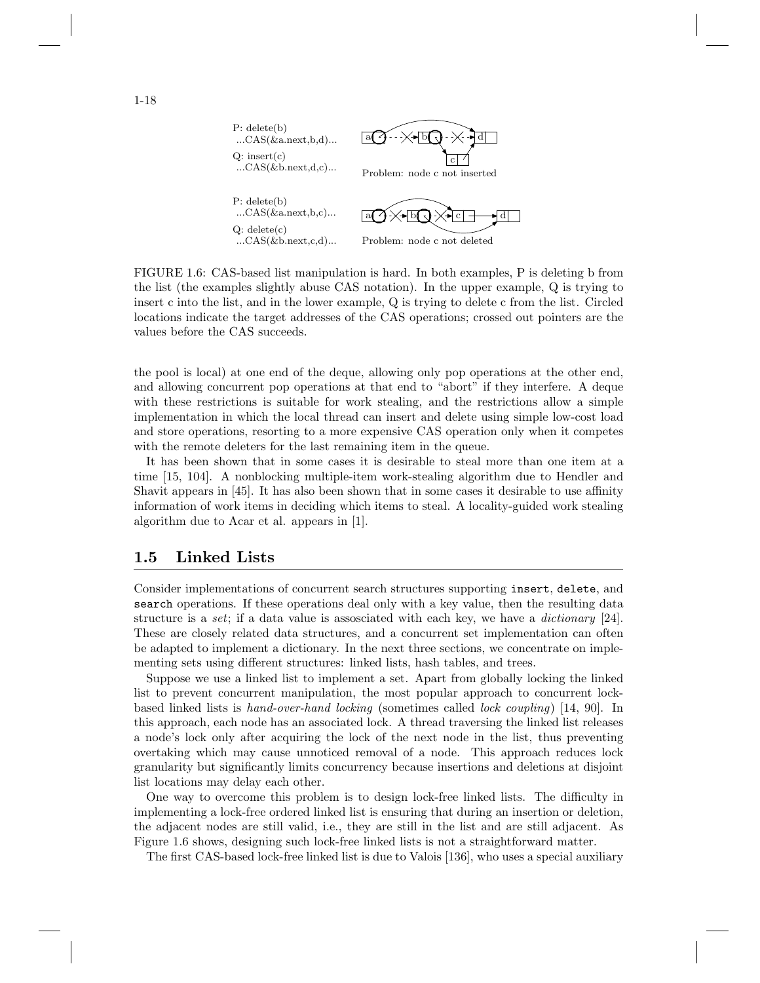

FIGURE 1.6: CAS-based list manipulation is hard. In both examples, P is deleting b from the list (the examples slightly abuse CAS notation). In the upper example, Q is trying to insert c into the list, and in the lower example, Q is trying to delete c from the list. Circled locations indicate the target addresses of the CAS operations; crossed out pointers are the values before the CAS succeeds.

the pool is local) at one end of the deque, allowing only pop operations at the other end, and allowing concurrent pop operations at that end to "abort" if they interfere. A deque with these restrictions is suitable for work stealing, and the restrictions allow a simple implementation in which the local thread can insert and delete using simple low-cost load and store operations, resorting to a more expensive CAS operation only when it competes with the remote deleters for the last remaining item in the queue.

It has been shown that in some cases it is desirable to steal more than one item at a time [15, 104]. A nonblocking multiple-item work-stealing algorithm due to Hendler and Shavit appears in [45]. It has also been shown that in some cases it desirable to use affinity information of work items in deciding which items to steal. A locality-guided work stealing algorithm due to Acar et al. appears in [1].

#### 1.5 Linked Lists

Consider implementations of concurrent search structures supporting insert, delete, and search operations. If these operations deal only with a key value, then the resulting data structure is a set; if a data value is assosciated with each key, we have a dictionary [24]. These are closely related data structures, and a concurrent set implementation can often be adapted to implement a dictionary. In the next three sections, we concentrate on implementing sets using different structures: linked lists, hash tables, and trees.

Suppose we use a linked list to implement a set. Apart from globally locking the linked list to prevent concurrent manipulation, the most popular approach to concurrent lockbased linked lists is hand-over-hand locking (sometimes called lock coupling) [14, 90]. In this approach, each node has an associated lock. A thread traversing the linked list releases a node's lock only after acquiring the lock of the next node in the list, thus preventing overtaking which may cause unnoticed removal of a node. This approach reduces lock granularity but significantly limits concurrency because insertions and deletions at disjoint list locations may delay each other.

One way to overcome this problem is to design lock-free linked lists. The difficulty in implementing a lock-free ordered linked list is ensuring that during an insertion or deletion, the adjacent nodes are still valid, i.e., they are still in the list and are still adjacent. As Figure 1.6 shows, designing such lock-free linked lists is not a straightforward matter.

The first CAS-based lock-free linked list is due to Valois [136], who uses a special auxiliary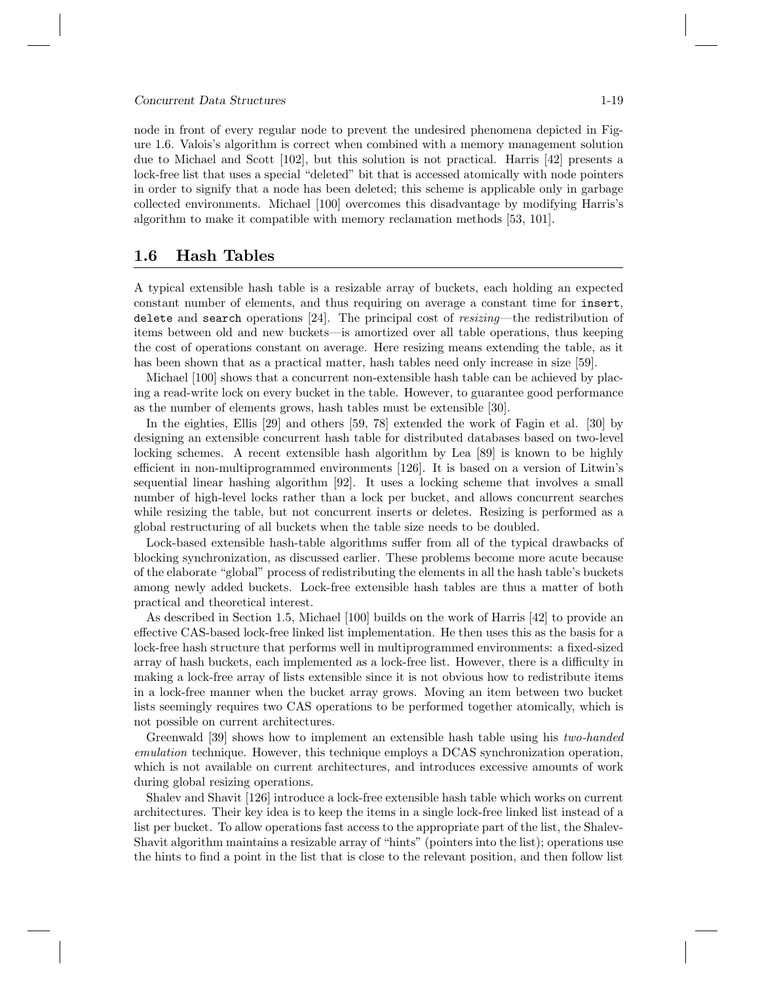node in front of every regular node to prevent the undesired phenomena depicted in Figure 1.6. Valois's algorithm is correct when combined with a memory management solution due to Michael and Scott [102], but this solution is not practical. Harris [42] presents a lock-free list that uses a special "deleted" bit that is accessed atomically with node pointers in order to signify that a node has been deleted; this scheme is applicable only in garbage collected environments. Michael [100] overcomes this disadvantage by modifying Harris's algorithm to make it compatible with memory reclamation methods [53, 101].

#### 1.6 Hash Tables

A typical extensible hash table is a resizable array of buckets, each holding an expected constant number of elements, and thus requiring on average a constant time for insert, delete and search operations [24]. The principal cost of resizing—the redistribution of items between old and new buckets—is amortized over all table operations, thus keeping the cost of operations constant on average. Here resizing means extending the table, as it has been shown that as a practical matter, hash tables need only increase in size [59].

Michael [100] shows that a concurrent non-extensible hash table can be achieved by placing a read-write lock on every bucket in the table. However, to guarantee good performance as the number of elements grows, hash tables must be extensible [30].

In the eighties, Ellis [29] and others [59, 78] extended the work of Fagin et al. [30] by designing an extensible concurrent hash table for distributed databases based on two-level locking schemes. A recent extensible hash algorithm by Lea [89] is known to be highly efficient in non-multiprogrammed environments [126]. It is based on a version of Litwin's sequential linear hashing algorithm [92]. It uses a locking scheme that involves a small number of high-level locks rather than a lock per bucket, and allows concurrent searches while resizing the table, but not concurrent inserts or deletes. Resizing is performed as a global restructuring of all buckets when the table size needs to be doubled.

Lock-based extensible hash-table algorithms suffer from all of the typical drawbacks of blocking synchronization, as discussed earlier. These problems become more acute because of the elaborate "global" process of redistributing the elements in all the hash table's buckets among newly added buckets. Lock-free extensible hash tables are thus a matter of both practical and theoretical interest.

As described in Section 1.5, Michael [100] builds on the work of Harris [42] to provide an effective CAS-based lock-free linked list implementation. He then uses this as the basis for a lock-free hash structure that performs well in multiprogrammed environments: a fixed-sized array of hash buckets, each implemented as a lock-free list. However, there is a difficulty in making a lock-free array of lists extensible since it is not obvious how to redistribute items in a lock-free manner when the bucket array grows. Moving an item between two bucket lists seemingly requires two CAS operations to be performed together atomically, which is not possible on current architectures.

Greenwald [39] shows how to implement an extensible hash table using his two-handed emulation technique. However, this technique employs a DCAS synchronization operation, which is not available on current architectures, and introduces excessive amounts of work during global resizing operations.

Shalev and Shavit [126] introduce a lock-free extensible hash table which works on current architectures. Their key idea is to keep the items in a single lock-free linked list instead of a list per bucket. To allow operations fast access to the appropriate part of the list, the Shalev-Shavit algorithm maintains a resizable array of "hints" (pointers into the list); operations use the hints to find a point in the list that is close to the relevant position, and then follow list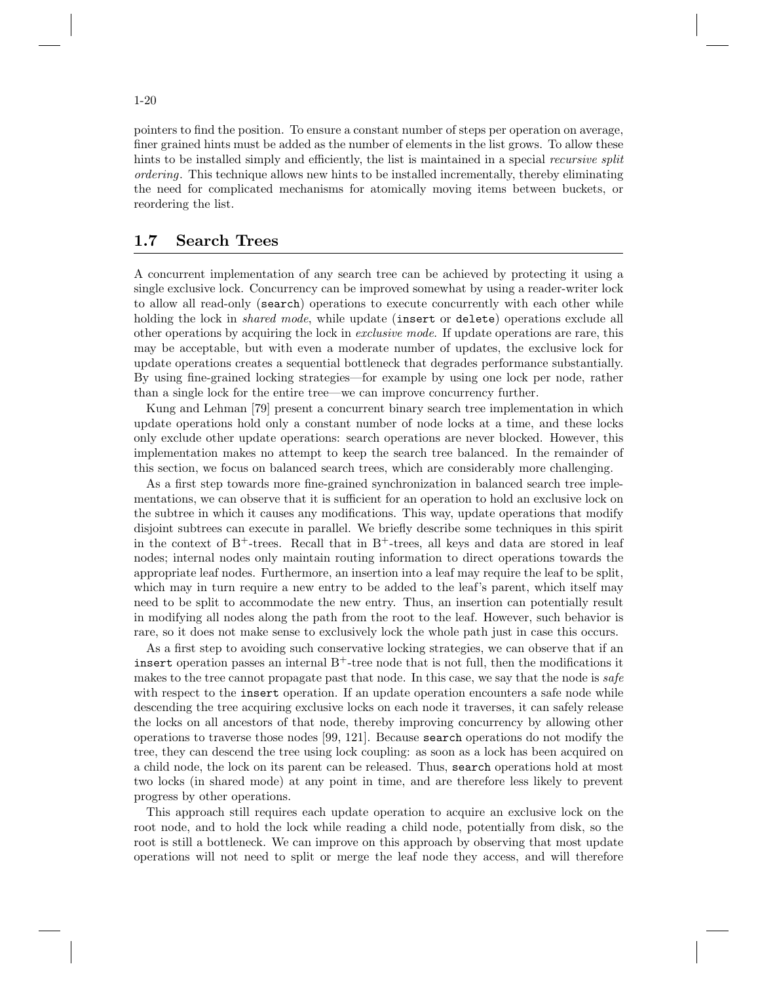pointers to find the position. To ensure a constant number of steps per operation on average, finer grained hints must be added as the number of elements in the list grows. To allow these hints to be installed simply and efficiently, the list is maintained in a special *recursive split* ordering. This technique allows new hints to be installed incrementally, thereby eliminating the need for complicated mechanisms for atomically moving items between buckets, or reordering the list.

#### 1.7 Search Trees

A concurrent implementation of any search tree can be achieved by protecting it using a single exclusive lock. Concurrency can be improved somewhat by using a reader-writer lock to allow all read-only (search) operations to execute concurrently with each other while holding the lock in *shared mode*, while update (insert or delete) operations exclude all other operations by acquiring the lock in *exclusive mode*. If update operations are rare, this may be acceptable, but with even a moderate number of updates, the exclusive lock for update operations creates a sequential bottleneck that degrades performance substantially. By using fine-grained locking strategies—for example by using one lock per node, rather than a single lock for the entire tree—we can improve concurrency further.

Kung and Lehman [79] present a concurrent binary search tree implementation in which update operations hold only a constant number of node locks at a time, and these locks only exclude other update operations: search operations are never blocked. However, this implementation makes no attempt to keep the search tree balanced. In the remainder of this section, we focus on balanced search trees, which are considerably more challenging.

As a first step towards more fine-grained synchronization in balanced search tree implementations, we can observe that it is sufficient for an operation to hold an exclusive lock on the subtree in which it causes any modifications. This way, update operations that modify disjoint subtrees can execute in parallel. We briefly describe some techniques in this spirit in the context of  $B^+$ -trees. Recall that in  $B^+$ -trees, all keys and data are stored in leaf nodes; internal nodes only maintain routing information to direct operations towards the appropriate leaf nodes. Furthermore, an insertion into a leaf may require the leaf to be split, which may in turn require a new entry to be added to the leaf's parent, which itself may need to be split to accommodate the new entry. Thus, an insertion can potentially result in modifying all nodes along the path from the root to the leaf. However, such behavior is rare, so it does not make sense to exclusively lock the whole path just in case this occurs.

As a first step to avoiding such conservative locking strategies, we can observe that if an insert operation passes an internal  $B^+$ -tree node that is not full, then the modifications it makes to the tree cannot propagate past that node. In this case, we say that the node is safe with respect to the insert operation. If an update operation encounters a safe node while descending the tree acquiring exclusive locks on each node it traverses, it can safely release the locks on all ancestors of that node, thereby improving concurrency by allowing other operations to traverse those nodes [99, 121]. Because search operations do not modify the tree, they can descend the tree using lock coupling: as soon as a lock has been acquired on a child node, the lock on its parent can be released. Thus, search operations hold at most two locks (in shared mode) at any point in time, and are therefore less likely to prevent progress by other operations.

This approach still requires each update operation to acquire an exclusive lock on the root node, and to hold the lock while reading a child node, potentially from disk, so the root is still a bottleneck. We can improve on this approach by observing that most update operations will not need to split or merge the leaf node they access, and will therefore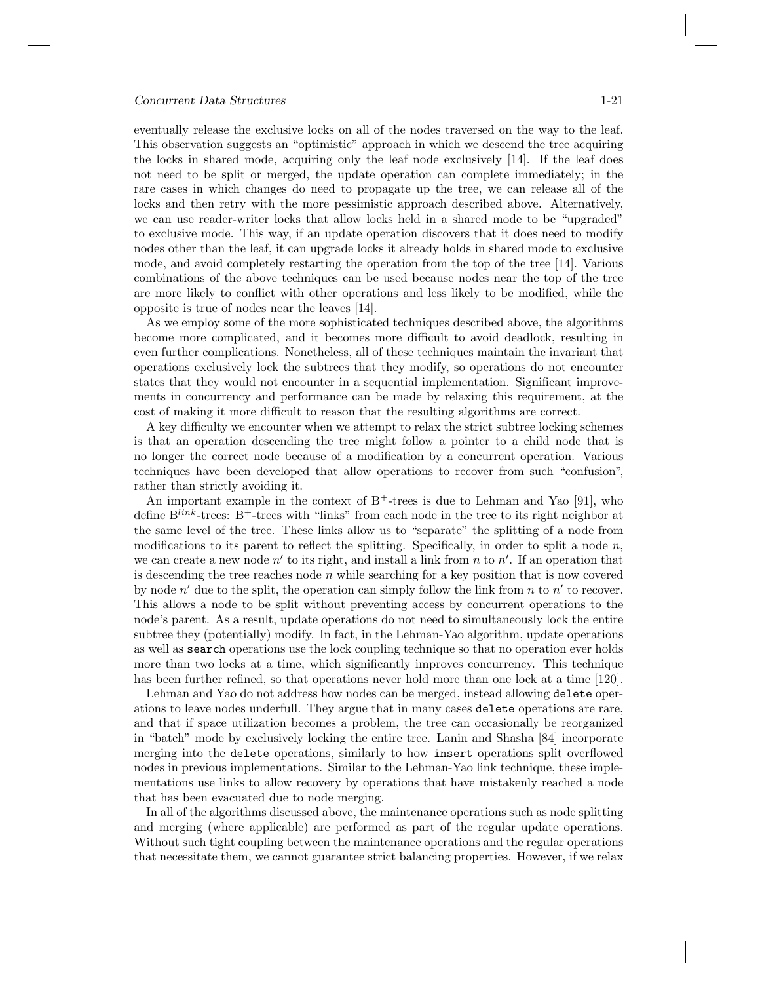eventually release the exclusive locks on all of the nodes traversed on the way to the leaf. This observation suggests an "optimistic" approach in which we descend the tree acquiring the locks in shared mode, acquiring only the leaf node exclusively [14]. If the leaf does not need to be split or merged, the update operation can complete immediately; in the rare cases in which changes do need to propagate up the tree, we can release all of the locks and then retry with the more pessimistic approach described above. Alternatively, we can use reader-writer locks that allow locks held in a shared mode to be "upgraded" to exclusive mode. This way, if an update operation discovers that it does need to modify nodes other than the leaf, it can upgrade locks it already holds in shared mode to exclusive mode, and avoid completely restarting the operation from the top of the tree [14]. Various combinations of the above techniques can be used because nodes near the top of the tree are more likely to conflict with other operations and less likely to be modified, while the opposite is true of nodes near the leaves [14].

As we employ some of the more sophisticated techniques described above, the algorithms become more complicated, and it becomes more difficult to avoid deadlock, resulting in even further complications. Nonetheless, all of these techniques maintain the invariant that operations exclusively lock the subtrees that they modify, so operations do not encounter states that they would not encounter in a sequential implementation. Significant improvements in concurrency and performance can be made by relaxing this requirement, at the cost of making it more difficult to reason that the resulting algorithms are correct.

A key difficulty we encounter when we attempt to relax the strict subtree locking schemes is that an operation descending the tree might follow a pointer to a child node that is no longer the correct node because of a modification by a concurrent operation. Various techniques have been developed that allow operations to recover from such "confusion", rather than strictly avoiding it.

An important example in the context of  $B^+$ -trees is due to Lehman and Yao [91], who define  $B^{link}$ -trees:  $B^+$ -trees with "links" from each node in the tree to its right neighbor at the same level of the tree. These links allow us to "separate" the splitting of a node from modifications to its parent to reflect the splitting. Specifically, in order to split a node  $n$ , we can create a new node  $n'$  to its right, and install a link from n to  $n'$ . If an operation that is descending the tree reaches node  $n$  while searching for a key position that is now covered by node  $n'$  due to the split, the operation can simply follow the link from n to  $n'$  to recover. This allows a node to be split without preventing access by concurrent operations to the node's parent. As a result, update operations do not need to simultaneously lock the entire subtree they (potentially) modify. In fact, in the Lehman-Yao algorithm, update operations as well as search operations use the lock coupling technique so that no operation ever holds more than two locks at a time, which significantly improves concurrency. This technique has been further refined, so that operations never hold more than one lock at a time [120].

Lehman and Yao do not address how nodes can be merged, instead allowing delete operations to leave nodes underfull. They argue that in many cases delete operations are rare, and that if space utilization becomes a problem, the tree can occasionally be reorganized in "batch" mode by exclusively locking the entire tree. Lanin and Shasha [84] incorporate merging into the delete operations, similarly to how insert operations split overflowed nodes in previous implementations. Similar to the Lehman-Yao link technique, these implementations use links to allow recovery by operations that have mistakenly reached a node that has been evacuated due to node merging.

In all of the algorithms discussed above, the maintenance operations such as node splitting and merging (where applicable) are performed as part of the regular update operations. Without such tight coupling between the maintenance operations and the regular operations that necessitate them, we cannot guarantee strict balancing properties. However, if we relax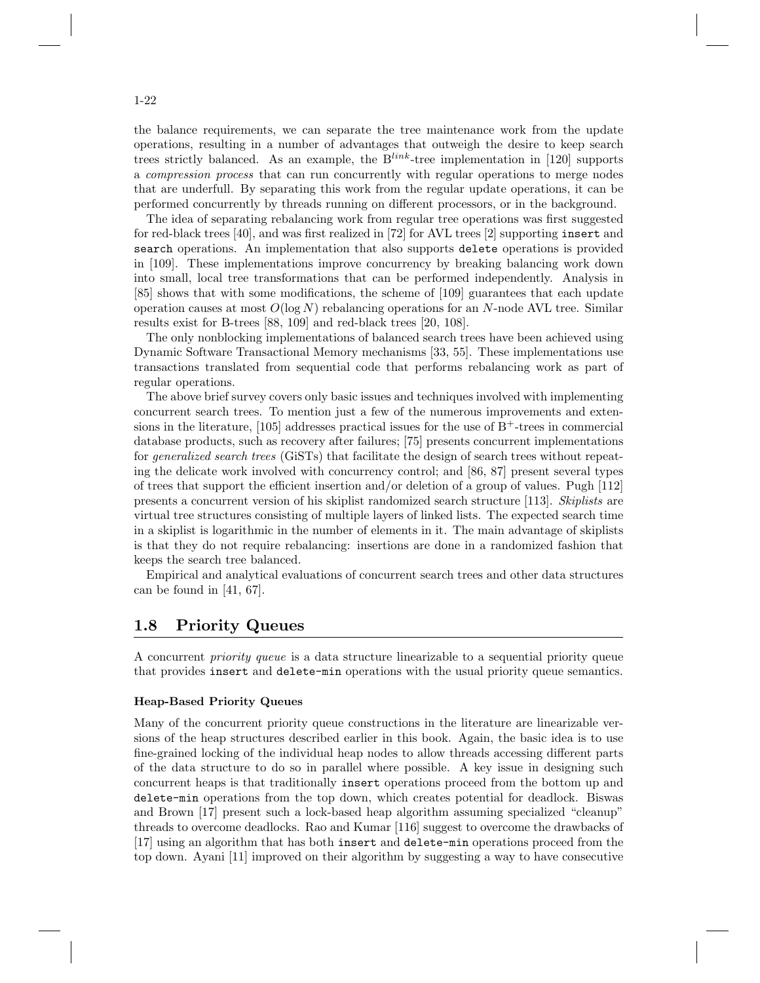the balance requirements, we can separate the tree maintenance work from the update operations, resulting in a number of advantages that outweigh the desire to keep search trees strictly balanced. As an example, the  $B^{link}$ -tree implementation in [120] supports a compression process that can run concurrently with regular operations to merge nodes that are underfull. By separating this work from the regular update operations, it can be performed concurrently by threads running on different processors, or in the background.

The idea of separating rebalancing work from regular tree operations was first suggested for red-black trees [40], and was first realized in [72] for AVL trees [2] supporting insert and search operations. An implementation that also supports delete operations is provided in [109]. These implementations improve concurrency by breaking balancing work down into small, local tree transformations that can be performed independently. Analysis in [85] shows that with some modifications, the scheme of [109] guarantees that each update operation causes at most  $O(\log N)$  rebalancing operations for an N-node AVL tree. Similar results exist for B-trees [88, 109] and red-black trees [20, 108].

The only nonblocking implementations of balanced search trees have been achieved using Dynamic Software Transactional Memory mechanisms [33, 55]. These implementations use transactions translated from sequential code that performs rebalancing work as part of regular operations.

The above brief survey covers only basic issues and techniques involved with implementing concurrent search trees. To mention just a few of the numerous improvements and extensions in the literature, [105] addresses practical issues for the use of  $B^+$ -trees in commercial database products, such as recovery after failures; [75] presents concurrent implementations for *generalized search trees* (GiSTs) that facilitate the design of search trees without repeating the delicate work involved with concurrency control; and [86, 87] present several types of trees that support the efficient insertion and/or deletion of a group of values. Pugh [112] presents a concurrent version of his skiplist randomized search structure [113]. Skiplists are virtual tree structures consisting of multiple layers of linked lists. The expected search time in a skiplist is logarithmic in the number of elements in it. The main advantage of skiplists is that they do not require rebalancing: insertions are done in a randomized fashion that keeps the search tree balanced.

Empirical and analytical evaluations of concurrent search trees and other data structures can be found in [41, 67].

#### 1.8 Priority Queues

A concurrent priority queue is a data structure linearizable to a sequential priority queue that provides insert and delete-min operations with the usual priority queue semantics.

#### Heap-Based Priority Queues

Many of the concurrent priority queue constructions in the literature are linearizable versions of the heap structures described earlier in this book. Again, the basic idea is to use fine-grained locking of the individual heap nodes to allow threads accessing different parts of the data structure to do so in parallel where possible. A key issue in designing such concurrent heaps is that traditionally insert operations proceed from the bottom up and delete-min operations from the top down, which creates potential for deadlock. Biswas and Brown [17] present such a lock-based heap algorithm assuming specialized "cleanup" threads to overcome deadlocks. Rao and Kumar [116] suggest to overcome the drawbacks of [17] using an algorithm that has both insert and delete-min operations proceed from the top down. Ayani [11] improved on their algorithm by suggesting a way to have consecutive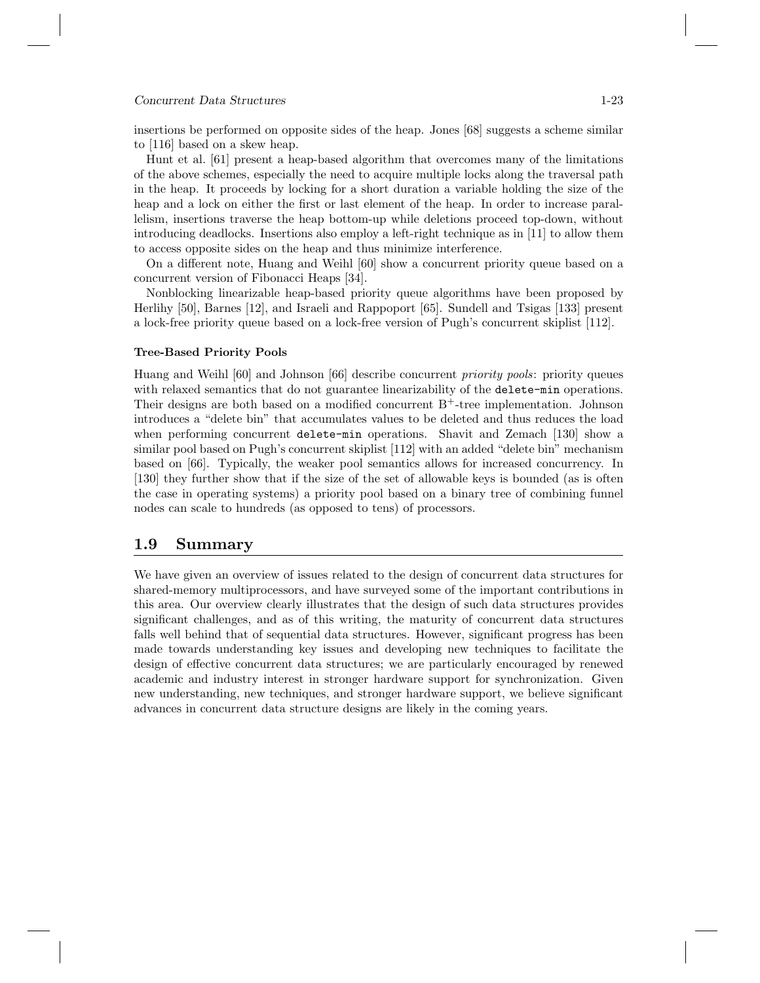insertions be performed on opposite sides of the heap. Jones [68] suggests a scheme similar to [116] based on a skew heap.

Hunt et al. [61] present a heap-based algorithm that overcomes many of the limitations of the above schemes, especially the need to acquire multiple locks along the traversal path in the heap. It proceeds by locking for a short duration a variable holding the size of the heap and a lock on either the first or last element of the heap. In order to increase parallelism, insertions traverse the heap bottom-up while deletions proceed top-down, without introducing deadlocks. Insertions also employ a left-right technique as in [11] to allow them to access opposite sides on the heap and thus minimize interference.

On a different note, Huang and Weihl [60] show a concurrent priority queue based on a concurrent version of Fibonacci Heaps [34].

Nonblocking linearizable heap-based priority queue algorithms have been proposed by Herlihy [50], Barnes [12], and Israeli and Rappoport [65]. Sundell and Tsigas [133] present a lock-free priority queue based on a lock-free version of Pugh's concurrent skiplist [112].

#### Tree-Based Priority Pools

Huang and Weihl [60] and Johnson [66] describe concurrent priority pools: priority queues with relaxed semantics that do not guarantee linearizability of the delete-min operations. Their designs are both based on a modified concurrent  $B^+$ -tree implementation. Johnson introduces a "delete bin" that accumulates values to be deleted and thus reduces the load when performing concurrent delete-min operations. Shavit and Zemach [130] show a similar pool based on Pugh's concurrent skiplist [112] with an added "delete bin" mechanism based on [66]. Typically, the weaker pool semantics allows for increased concurrency. In [130] they further show that if the size of the set of allowable keys is bounded (as is often the case in operating systems) a priority pool based on a binary tree of combining funnel nodes can scale to hundreds (as opposed to tens) of processors.

#### 1.9 Summary

We have given an overview of issues related to the design of concurrent data structures for shared-memory multiprocessors, and have surveyed some of the important contributions in this area. Our overview clearly illustrates that the design of such data structures provides significant challenges, and as of this writing, the maturity of concurrent data structures falls well behind that of sequential data structures. However, significant progress has been made towards understanding key issues and developing new techniques to facilitate the design of effective concurrent data structures; we are particularly encouraged by renewed academic and industry interest in stronger hardware support for synchronization. Given new understanding, new techniques, and stronger hardware support, we believe significant advances in concurrent data structure designs are likely in the coming years.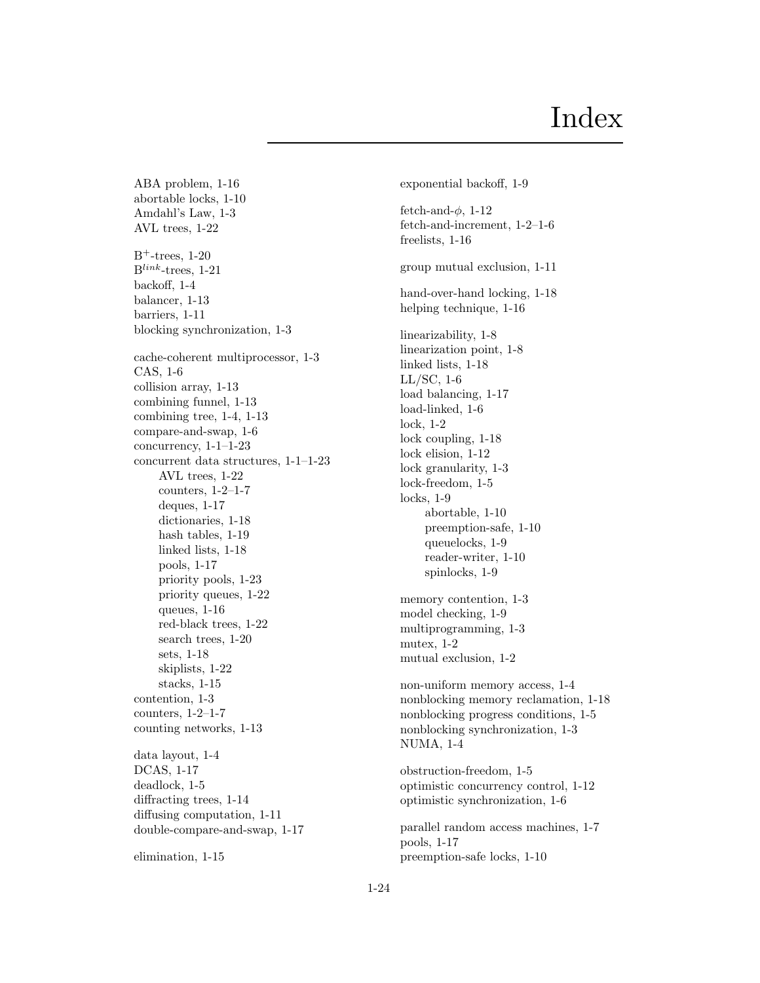ABA problem, 1-16 abortable locks, 1-10 Amdahl's Law, 1-3 AVL trees, 1-22  $B^+$ -trees, 1-20  $B^{link}$ -trees, 1-21 backoff, 1-4 balancer, 1-13 barriers, 1-11 blocking synchronization, 1-3 cache-coherent multiprocessor, 1-3 CAS, 1-6 collision array, 1-13 combining funnel, 1-13 combining tree, 1-4, 1-13 compare-and-swap, 1-6 concurrency, 1-1–1-23 concurrent data structures, 1-1–1-23 AVL trees, 1-22 counters, 1-2–1-7 deques, 1-17 dictionaries, 1-18 hash tables, 1-19 linked lists, 1-18 pools, 1-17 priority pools, 1-23 priority queues, 1-22 queues, 1-16 red-black trees, 1-22 search trees, 1-20 sets, 1-18 skiplists, 1-22 stacks, 1-15 contention, 1-3 counters, 1-2–1-7 counting networks, 1-13 data layout, 1-4 DCAS, 1-17 deadlock, 1-5 diffracting trees, 1-14 diffusing computation, 1-11 double-compare-and-swap, 1-17 elimination, 1-15

exponential backoff, 1-9 fetch-and- $\phi$ , 1-12 fetch-and-increment, 1-2–1-6 freelists, 1-16 group mutual exclusion, 1-11 hand-over-hand locking, 1-18 helping technique, 1-16 linearizability, 1-8 linearization point, 1-8 linked lists, 1-18 LL/SC, 1-6 load balancing, 1-17 load-linked, 1-6 lock, 1-2 lock coupling, 1-18 lock elision, 1-12 lock granularity, 1-3 lock-freedom, 1-5 locks, 1-9 abortable, 1-10 preemption-safe, 1-10 queuelocks, 1-9 reader-writer, 1-10 spinlocks, 1-9 memory contention, 1-3 model checking, 1-9 multiprogramming, 1-3 mutex, 1-2 mutual exclusion, 1-2 non-uniform memory access, 1-4 nonblocking memory reclamation, 1-18 nonblocking progress conditions, 1-5 nonblocking synchronization, 1-3 NUMA, 1-4 obstruction-freedom, 1-5 optimistic concurrency control, 1-12 optimistic synchronization, 1-6 parallel random access machines, 1-7 pools, 1-17 preemption-safe locks, 1-10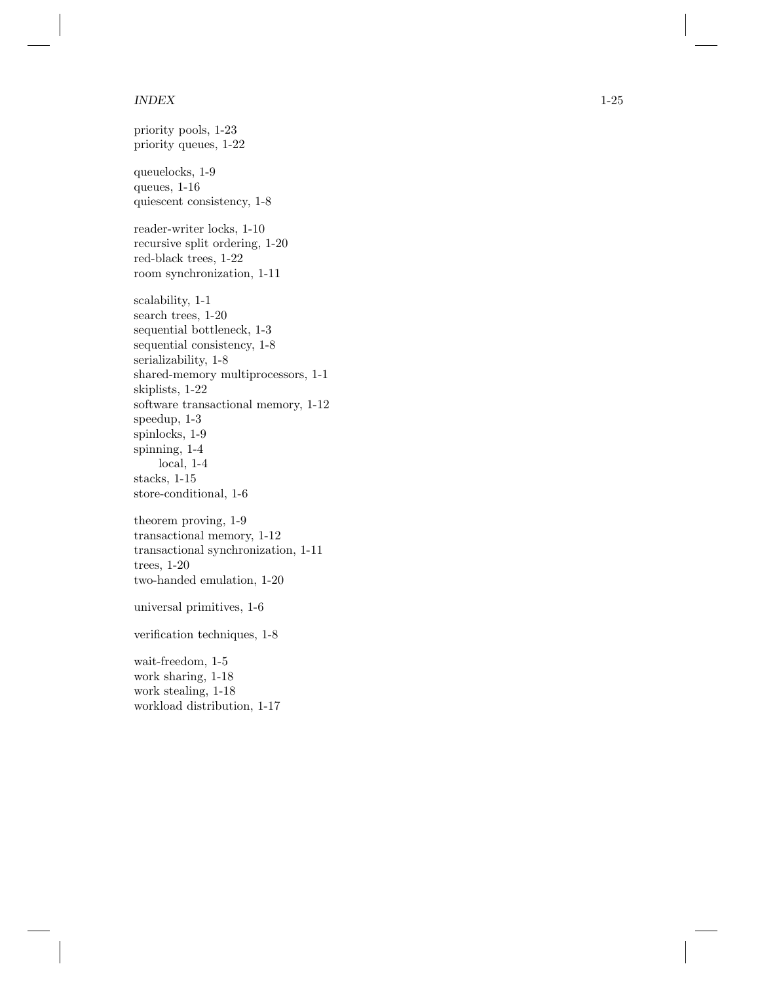#### INDEX 1-25

priority pools, 1-23 priority queues, 1-22 queuelocks, 1-9 queues, 1-16 quiescent consistency, 1-8 reader-writer locks, 1-10 recursive split ordering, 1-20 red-black trees, 1-22 room synchronization, 1-11 scalability, 1-1 search trees, 1-20 sequential bottleneck, 1-3 sequential consistency, 1-8 serializability, 1-8 shared-memory multiprocessors, 1-1 skiplists, 1-22 software transactional memory, 1-12 speedup, 1-3 spinlocks, 1-9 spinning, 1-4 local, 1-4 stacks, 1-15 store-conditional, 1-6 theorem proving, 1-9 transactional memory, 1-12 transactional synchronization, 1-11 trees, 1-20 two-handed emulation, 1-20 universal primitives, 1-6 verification techniques, 1-8 wait-freedom, 1-5 work sharing, 1-18

work stealing, 1-18 workload distribution, 1-17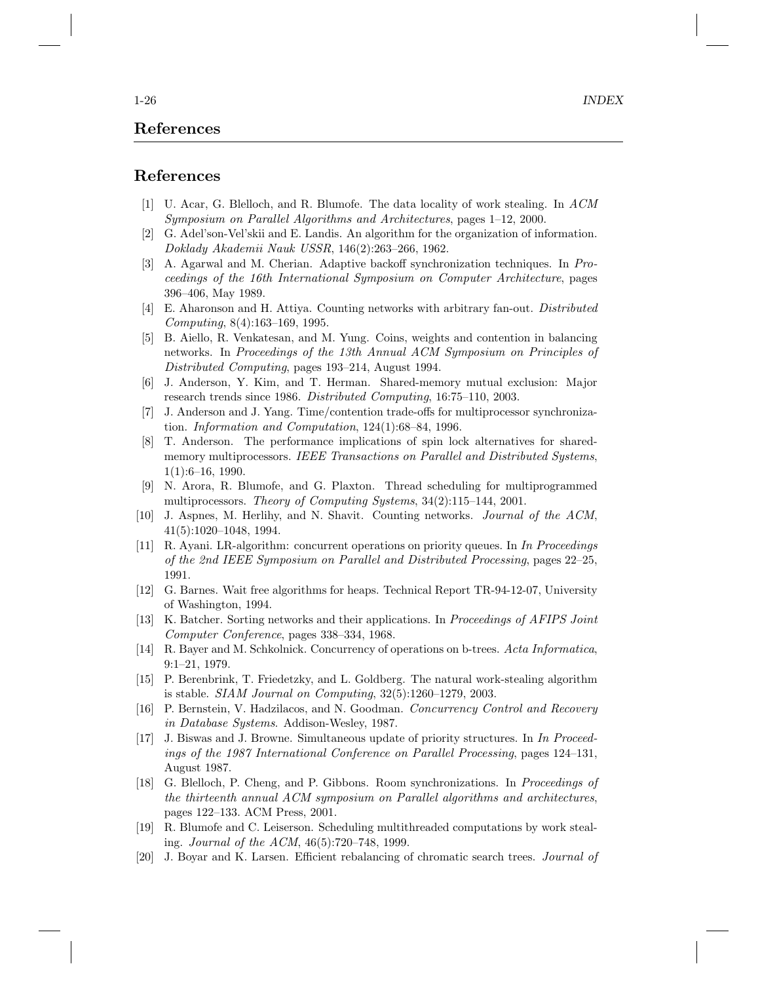#### References

#### References

- [1] U. Acar, G. Blelloch, and R. Blumofe. The data locality of work stealing. In ACM Symposium on Parallel Algorithms and Architectures, pages 1–12, 2000.
- [2] G. Adel'son-Vel'skii and E. Landis. An algorithm for the organization of information. Doklady Akademii Nauk USSR, 146(2):263–266, 1962.
- [3] A. Agarwal and M. Cherian. Adaptive backoff synchronization techniques. In Proceedings of the 16th International Symposium on Computer Architecture, pages 396–406, May 1989.
- [4] E. Aharonson and H. Attiya. Counting networks with arbitrary fan-out. Distributed Computing, 8(4):163–169, 1995.
- [5] B. Aiello, R. Venkatesan, and M. Yung. Coins, weights and contention in balancing networks. In Proceedings of the 13th Annual ACM Symposium on Principles of Distributed Computing, pages 193–214, August 1994.
- [6] J. Anderson, Y. Kim, and T. Herman. Shared-memory mutual exclusion: Major research trends since 1986. Distributed Computing, 16:75–110, 2003.
- [7] J. Anderson and J. Yang. Time/contention trade-offs for multiprocessor synchronization. Information and Computation, 124(1):68–84, 1996.
- [8] T. Anderson. The performance implications of spin lock alternatives for sharedmemory multiprocessors. IEEE Transactions on Parallel and Distributed Systems, 1(1):6–16, 1990.
- [9] N. Arora, R. Blumofe, and G. Plaxton. Thread scheduling for multiprogrammed multiprocessors. Theory of Computing Systems, 34(2):115–144, 2001.
- [10] J. Aspnes, M. Herlihy, and N. Shavit. Counting networks. Journal of the ACM, 41(5):1020–1048, 1994.
- [11] R. Ayani. LR-algorithm: concurrent operations on priority queues. In In Proceedings of the 2nd IEEE Symposium on Parallel and Distributed Processing, pages 22–25, 1991.
- [12] G. Barnes. Wait free algorithms for heaps. Technical Report TR-94-12-07, University of Washington, 1994.
- [13] K. Batcher. Sorting networks and their applications. In Proceedings of AFIPS Joint Computer Conference, pages 338–334, 1968.
- [14] R. Bayer and M. Schkolnick. Concurrency of operations on b-trees. Acta Informatica, 9:1–21, 1979.
- [15] P. Berenbrink, T. Friedetzky, and L. Goldberg. The natural work-stealing algorithm is stable. *SIAM Journal on Computing*,  $32(5):1260-1279$ ,  $2003$ .
- [16] P. Bernstein, V. Hadzilacos, and N. Goodman. Concurrency Control and Recovery in Database Systems. Addison-Wesley, 1987.
- [17] J. Biswas and J. Browne. Simultaneous update of priority structures. In In Proceedings of the 1987 International Conference on Parallel Processing, pages 124–131, August 1987.
- [18] G. Blelloch, P. Cheng, and P. Gibbons. Room synchronizations. In Proceedings of the thirteenth annual ACM symposium on Parallel algorithms and architectures, pages 122–133. ACM Press, 2001.
- [19] R. Blumofe and C. Leiserson. Scheduling multithreaded computations by work stealing. Journal of the ACM, 46(5):720–748, 1999.
- [20] J. Boyar and K. Larsen. Efficient rebalancing of chromatic search trees. Journal of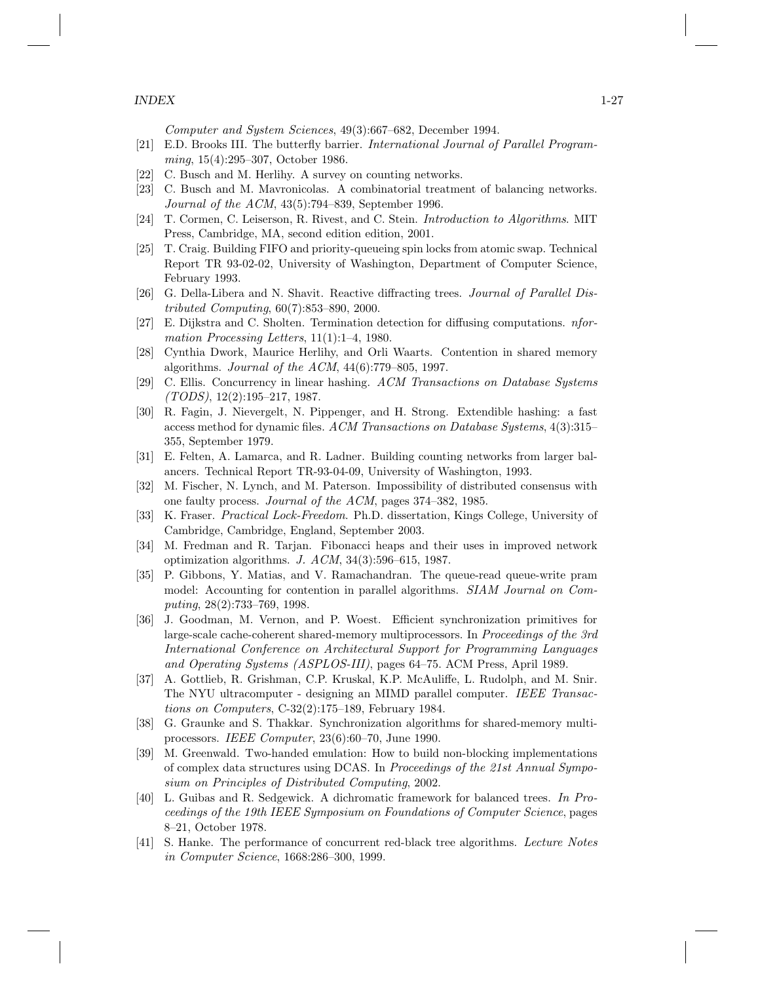Computer and System Sciences, 49(3):667–682, December 1994.

- [21] E.D. Brooks III. The butterfly barrier. International Journal of Parallel Programming, 15(4):295–307, October 1986.
- [22] C. Busch and M. Herlihy. A survey on counting networks.
- [23] C. Busch and M. Mavronicolas. A combinatorial treatment of balancing networks. Journal of the ACM, 43(5):794–839, September 1996.
- [24] T. Cormen, C. Leiserson, R. Rivest, and C. Stein. Introduction to Algorithms. MIT Press, Cambridge, MA, second edition edition, 2001.
- [25] T. Craig. Building FIFO and priority-queueing spin locks from atomic swap. Technical Report TR 93-02-02, University of Washington, Department of Computer Science, February 1993.
- [26] G. Della-Libera and N. Shavit. Reactive diffracting trees. Journal of Parallel Distributed Computing, 60(7):853–890, 2000.
- [27] E. Dijkstra and C. Sholten. Termination detection for diffusing computations. nformation Processing Letters,  $11(1):1-4$ , 1980.
- [28] Cynthia Dwork, Maurice Herlihy, and Orli Waarts. Contention in shared memory algorithms. Journal of the  $ACM$ ,  $44(6)$ :779–805, 1997.
- [29] C. Ellis. Concurrency in linear hashing. ACM Transactions on Database Systems (TODS), 12(2):195–217, 1987.
- [30] R. Fagin, J. Nievergelt, N. Pippenger, and H. Strong. Extendible hashing: a fast access method for dynamic files. ACM Transactions on Database Systems, 4(3):315– 355, September 1979.
- [31] E. Felten, A. Lamarca, and R. Ladner. Building counting networks from larger balancers. Technical Report TR-93-04-09, University of Washington, 1993.
- [32] M. Fischer, N. Lynch, and M. Paterson. Impossibility of distributed consensus with one faulty process. Journal of the ACM, pages 374–382, 1985.
- [33] K. Fraser. Practical Lock-Freedom. Ph.D. dissertation, Kings College, University of Cambridge, Cambridge, England, September 2003.
- [34] M. Fredman and R. Tarjan. Fibonacci heaps and their uses in improved network optimization algorithms. J.  $ACM$ ,  $34(3):596-615$ , 1987.
- [35] P. Gibbons, Y. Matias, and V. Ramachandran. The queue-read queue-write pram model: Accounting for contention in parallel algorithms. SIAM Journal on Computing, 28(2):733–769, 1998.
- [36] J. Goodman, M. Vernon, and P. Woest. Efficient synchronization primitives for large-scale cache-coherent shared-memory multiprocessors. In *Proceedings of the 3rd* International Conference on Architectural Support for Programming Languages and Operating Systems (ASPLOS-III), pages 64–75. ACM Press, April 1989.
- [37] A. Gottlieb, R. Grishman, C.P. Kruskal, K.P. McAuliffe, L. Rudolph, and M. Snir. The NYU ultracomputer - designing an MIMD parallel computer. IEEE Transactions on Computers, C-32(2):175–189, February 1984.
- [38] G. Graunke and S. Thakkar. Synchronization algorithms for shared-memory multiprocessors. IEEE Computer,  $23(6):60-70$ , June 1990.
- [39] M. Greenwald. Two-handed emulation: How to build non-blocking implementations of complex data structures using DCAS. In Proceedings of the 21st Annual Symposium on Principles of Distributed Computing, 2002.
- [40] L. Guibas and R. Sedgewick. A dichromatic framework for balanced trees. In Proceedings of the 19th IEEE Symposium on Foundations of Computer Science, pages 8–21, October 1978.
- [41] S. Hanke. The performance of concurrent red-black tree algorithms. Lecture Notes in Computer Science, 1668:286–300, 1999.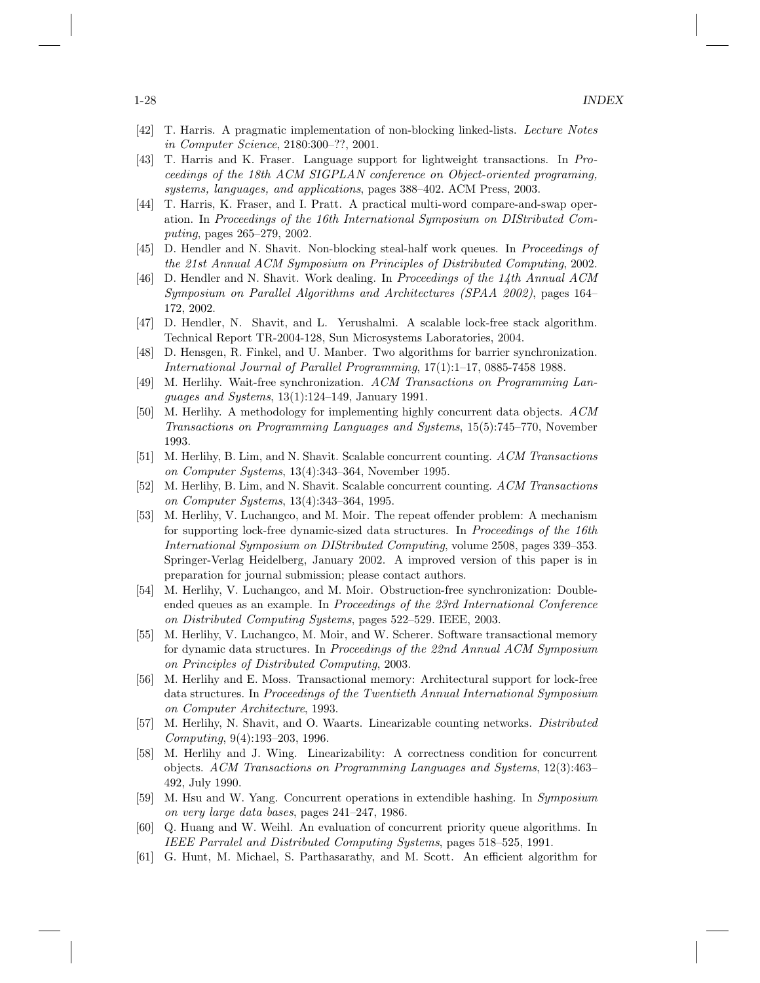- [42] T. Harris. A pragmatic implementation of non-blocking linked-lists. Lecture Notes in Computer Science, 2180:300–??, 2001.
- [43] T. Harris and K. Fraser. Language support for lightweight transactions. In Proceedings of the 18th ACM SIGPLAN conference on Object-oriented programing, systems, languages, and applications, pages 388–402. ACM Press, 2003.
- [44] T. Harris, K. Fraser, and I. Pratt. A practical multi-word compare-and-swap operation. In Proceedings of the 16th International Symposium on DIStributed Computing, pages 265–279, 2002.
- [45] D. Hendler and N. Shavit. Non-blocking steal-half work queues. In Proceedings of the 21st Annual ACM Symposium on Principles of Distributed Computing, 2002.
- [46] D. Hendler and N. Shavit. Work dealing. In Proceedings of the 14th Annual ACM Symposium on Parallel Algorithms and Architectures (SPAA 2002), pages 164– 172, 2002.
- [47] D. Hendler, N. Shavit, and L. Yerushalmi. A scalable lock-free stack algorithm. Technical Report TR-2004-128, Sun Microsystems Laboratories, 2004.
- [48] D. Hensgen, R. Finkel, and U. Manber. Two algorithms for barrier synchronization. International Journal of Parallel Programming, 17(1):1–17, 0885-7458 1988.
- [49] M. Herlihy. Wait-free synchronization. ACM Transactions on Programming Languages and Systems, 13(1):124–149, January 1991.
- [50] M. Herlihy. A methodology for implementing highly concurrent data objects. ACM Transactions on Programming Languages and Systems, 15(5):745–770, November 1993.
- [51] M. Herlihy, B. Lim, and N. Shavit. Scalable concurrent counting. ACM Transactions on Computer Systems, 13(4):343–364, November 1995.
- [52] M. Herlihy, B. Lim, and N. Shavit. Scalable concurrent counting. ACM Transactions on Computer Systems, 13(4):343–364, 1995.
- [53] M. Herlihy, V. Luchangco, and M. Moir. The repeat offender problem: A mechanism for supporting lock-free dynamic-sized data structures. In *Proceedings of the 16th* International Symposium on DIStributed Computing, volume 2508, pages 339–353. Springer-Verlag Heidelberg, January 2002. A improved version of this paper is in preparation for journal submission; please contact authors.
- [54] M. Herlihy, V. Luchangco, and M. Moir. Obstruction-free synchronization: Doubleended queues as an example. In Proceedings of the 23rd International Conference on Distributed Computing Systems, pages 522–529. IEEE, 2003.
- [55] M. Herlihy, V. Luchangco, M. Moir, and W. Scherer. Software transactional memory for dynamic data structures. In Proceedings of the 22nd Annual ACM Symposium on Principles of Distributed Computing, 2003.
- [56] M. Herlihy and E. Moss. Transactional memory: Architectural support for lock-free data structures. In Proceedings of the Twentieth Annual International Symposium on Computer Architecture, 1993.
- [57] M. Herlihy, N. Shavit, and O. Waarts. Linearizable counting networks. Distributed Computing, 9(4):193–203, 1996.
- [58] M. Herlihy and J. Wing. Linearizability: A correctness condition for concurrent objects. ACM Transactions on Programming Languages and Systems, 12(3):463– 492, July 1990.
- [59] M. Hsu and W. Yang. Concurrent operations in extendible hashing. In Symposium on very large data bases, pages 241–247, 1986.
- [60] Q. Huang and W. Weihl. An evaluation of concurrent priority queue algorithms. In IEEE Parralel and Distributed Computing Systems, pages 518–525, 1991.
- [61] G. Hunt, M. Michael, S. Parthasarathy, and M. Scott. An efficient algorithm for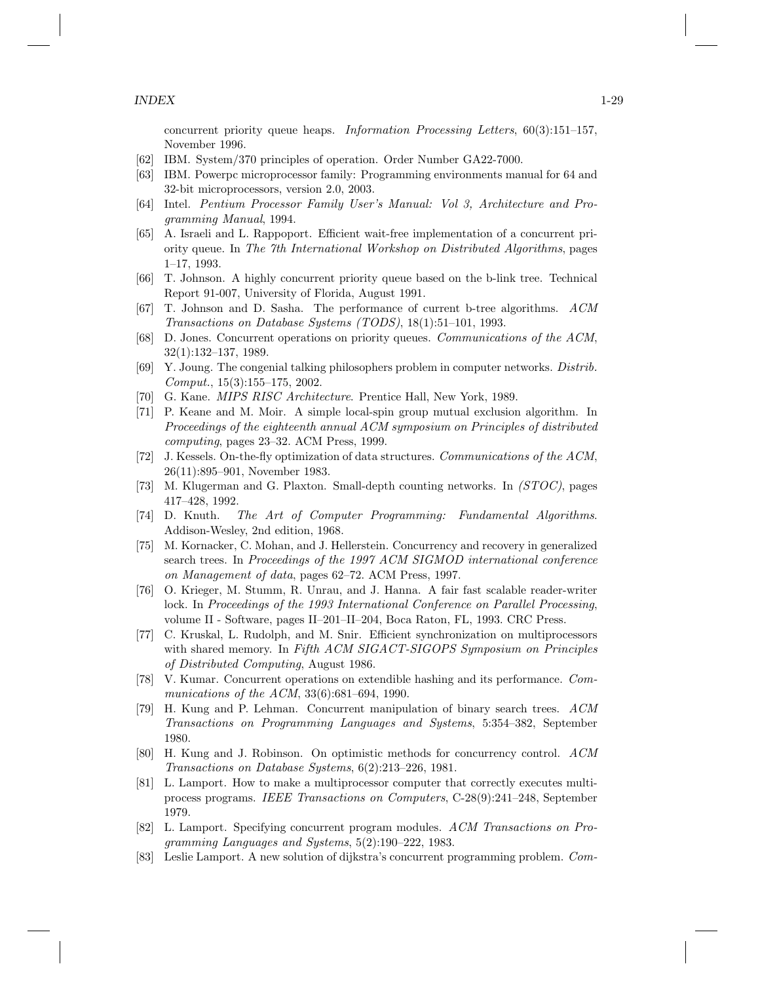concurrent priority queue heaps. Information Processing Letters,  $60(3):151-157$ , November 1996.

- [62] IBM. System/370 principles of operation. Order Number GA22-7000.
- [63] IBM. Powerpc microprocessor family: Programming environments manual for 64 and 32-bit microprocessors, version 2.0, 2003.
- [64] Intel. Pentium Processor Family User's Manual: Vol 3, Architecture and Programming Manual, 1994.
- [65] A. Israeli and L. Rappoport. Efficient wait-free implementation of a concurrent priority queue. In The 7th International Workshop on Distributed Algorithms, pages 1–17, 1993.
- [66] T. Johnson. A highly concurrent priority queue based on the b-link tree. Technical Report 91-007, University of Florida, August 1991.
- [67] T. Johnson and D. Sasha. The performance of current b-tree algorithms. ACM Transactions on Database Systems (TODS), 18(1):51–101, 1993.
- [68] D. Jones. Concurrent operations on priority queues. Communications of the ACM, 32(1):132–137, 1989.
- [69] Y. Joung. The congenial talking philosophers problem in computer networks. Distrib. Comput., 15(3):155–175, 2002.
- [70] G. Kane. *MIPS RISC Architecture*. Prentice Hall, New York, 1989.
- [71] P. Keane and M. Moir. A simple local-spin group mutual exclusion algorithm. In Proceedings of the eighteenth annual ACM symposium on Principles of distributed computing, pages 23–32. ACM Press, 1999.
- [72] J. Kessels. On-the-fly optimization of data structures. Communications of the ACM, 26(11):895–901, November 1983.
- [73] M. Klugerman and G. Plaxton. Small-depth counting networks. In (STOC), pages 417–428, 1992.
- [74] D. Knuth. The Art of Computer Programming: Fundamental Algorithms. Addison-Wesley, 2nd edition, 1968.
- [75] M. Kornacker, C. Mohan, and J. Hellerstein. Concurrency and recovery in generalized search trees. In Proceedings of the 1997 ACM SIGMOD international conference on Management of data, pages 62–72. ACM Press, 1997.
- [76] O. Krieger, M. Stumm, R. Unrau, and J. Hanna. A fair fast scalable reader-writer lock. In Proceedings of the 1993 International Conference on Parallel Processing, volume II - Software, pages II–201–II–204, Boca Raton, FL, 1993. CRC Press.
- [77] C. Kruskal, L. Rudolph, and M. Snir. Efficient synchronization on multiprocessors with shared memory. In Fifth ACM SIGACT-SIGOPS Symposium on Principles of Distributed Computing, August 1986.
- [78] V. Kumar. Concurrent operations on extendible hashing and its performance. Communications of the ACM, 33(6):681–694, 1990.
- [79] H. Kung and P. Lehman. Concurrent manipulation of binary search trees. ACM Transactions on Programming Languages and Systems, 5:354–382, September 1980.
- [80] H. Kung and J. Robinson. On optimistic methods for concurrency control. ACM Transactions on Database Systems, 6(2):213–226, 1981.
- [81] L. Lamport. How to make a multiprocessor computer that correctly executes multiprocess programs. IEEE Transactions on Computers, C-28(9):241–248, September 1979.
- [82] L. Lamport. Specifying concurrent program modules. ACM Transactions on Programming Languages and Systems, 5(2):190–222, 1983.
- [83] Leslie Lamport. A new solution of dijkstra's concurrent programming problem. Com-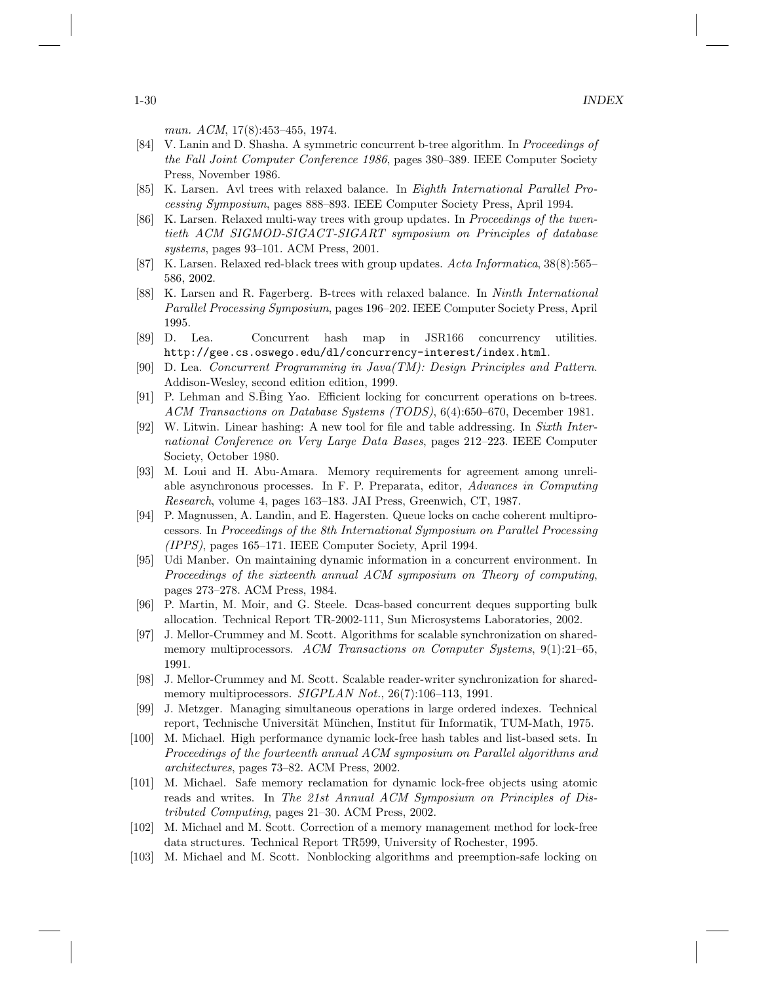mun. ACM, 17(8):453-455, 1974.

- [84] V. Lanin and D. Shasha. A symmetric concurrent b-tree algorithm. In *Proceedings of* the Fall Joint Computer Conference 1986, pages 380–389. IEEE Computer Society Press, November 1986.
- [85] K. Larsen. Avl trees with relaxed balance. In Eighth International Parallel Processing Symposium, pages 888–893. IEEE Computer Society Press, April 1994.
- [86] K. Larsen. Relaxed multi-way trees with group updates. In Proceedings of the twentieth ACM SIGMOD-SIGACT-SIGART symposium on Principles of database systems, pages 93–101. ACM Press, 2001.
- [87] K. Larsen. Relaxed red-black trees with group updates. Acta Informatica, 38(8):565– 586, 2002.
- [88] K. Larsen and R. Fagerberg. B-trees with relaxed balance. In Ninth International Parallel Processing Symposium, pages 196–202. IEEE Computer Society Press, April 1995.
- [89] D. Lea. Concurrent hash map in JSR166 concurrency utilities. http://gee.cs.oswego.edu/dl/concurrency-interest/index.html.
- [90] D. Lea. Concurrent Programming in Java(TM): Design Principles and Pattern. Addison-Wesley, second edition edition, 1999.
- [91] P. Lehman and S.Bing Yao. Efficient locking for concurrent operations on b-trees. ACM Transactions on Database Systems (TODS), 6(4):650–670, December 1981.
- [92] W. Litwin. Linear hashing: A new tool for file and table addressing. In Sixth International Conference on Very Large Data Bases, pages 212–223. IEEE Computer Society, October 1980.
- [93] M. Loui and H. Abu-Amara. Memory requirements for agreement among unreliable asynchronous processes. In F. P. Preparata, editor, Advances in Computing Research, volume 4, pages 163–183. JAI Press, Greenwich, CT, 1987.
- [94] P. Magnussen, A. Landin, and E. Hagersten. Queue locks on cache coherent multiprocessors. In Proceedings of the 8th International Symposium on Parallel Processing (IPPS), pages 165–171. IEEE Computer Society, April 1994.
- [95] Udi Manber. On maintaining dynamic information in a concurrent environment. In Proceedings of the sixteenth annual ACM symposium on Theory of computing, pages 273–278. ACM Press, 1984.
- [96] P. Martin, M. Moir, and G. Steele. Dcas-based concurrent deques supporting bulk allocation. Technical Report TR-2002-111, Sun Microsystems Laboratories, 2002.
- [97] J. Mellor-Crummey and M. Scott. Algorithms for scalable synchronization on sharedmemory multiprocessors. ACM Transactions on Computer Systems, 9(1):21-65, 1991.
- [98] J. Mellor-Crummey and M. Scott. Scalable reader-writer synchronization for sharedmemory multiprocessors.  $SIGPLAN Not., 26(7):106-113, 1991.$
- [99] J. Metzger. Managing simultaneous operations in large ordered indexes. Technical report, Technische Universität München, Institut für Informatik, TUM-Math, 1975.
- [100] M. Michael. High performance dynamic lock-free hash tables and list-based sets. In Proceedings of the fourteenth annual ACM symposium on Parallel algorithms and architectures, pages 73–82. ACM Press, 2002.
- [101] M. Michael. Safe memory reclamation for dynamic lock-free objects using atomic reads and writes. In The 21st Annual ACM Symposium on Principles of Distributed Computing, pages 21–30. ACM Press, 2002.
- [102] M. Michael and M. Scott. Correction of a memory management method for lock-free data structures. Technical Report TR599, University of Rochester, 1995.
- [103] M. Michael and M. Scott. Nonblocking algorithms and preemption-safe locking on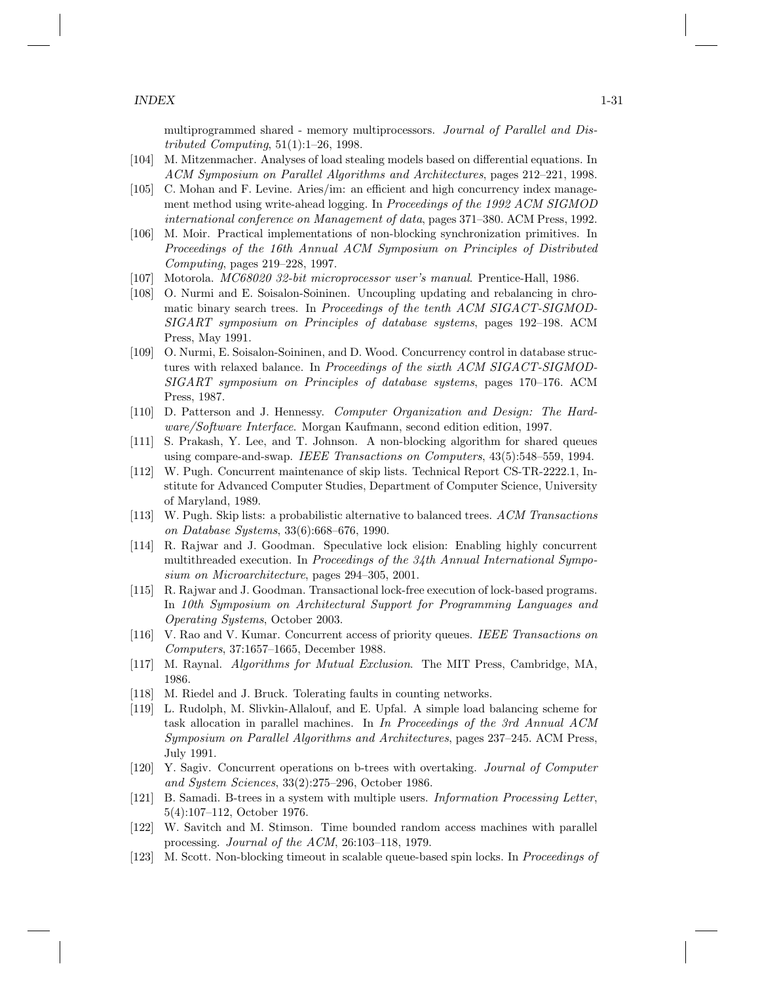multiprogrammed shared - memory multiprocessors. Journal of Parallel and Distributed Computing, 51(1):1–26, 1998.

- [104] M. Mitzenmacher. Analyses of load stealing models based on differential equations. In ACM Symposium on Parallel Algorithms and Architectures, pages 212–221, 1998.
- [105] C. Mohan and F. Levine. Aries/im: an efficient and high concurrency index management method using write-ahead logging. In Proceedings of the 1992 ACM SIGMOD international conference on Management of data, pages 371–380. ACM Press, 1992.
- [106] M. Moir. Practical implementations of non-blocking synchronization primitives. In Proceedings of the 16th Annual ACM Symposium on Principles of Distributed Computing, pages 219–228, 1997.
- [107] Motorola. MC68020 32-bit microprocessor user's manual. Prentice-Hall, 1986.
- [108] O. Nurmi and E. Soisalon-Soininen. Uncoupling updating and rebalancing in chromatic binary search trees. In Proceedings of the tenth ACM SIGACT-SIGMOD-SIGART symposium on Principles of database systems, pages 192–198. ACM Press, May 1991.
- [109] O. Nurmi, E. Soisalon-Soininen, and D. Wood. Concurrency control in database structures with relaxed balance. In Proceedings of the sixth ACM SIGACT-SIGMOD-SIGART symposium on Principles of database systems, pages 170–176. ACM Press, 1987.
- [110] D. Patterson and J. Hennessy. Computer Organization and Design: The Hardware/Software Interface. Morgan Kaufmann, second edition edition, 1997.
- [111] S. Prakash, Y. Lee, and T. Johnson. A non-blocking algorithm for shared queues using compare-and-swap. IEEE Transactions on Computers, 43(5):548-559, 1994.
- [112] W. Pugh. Concurrent maintenance of skip lists. Technical Report CS-TR-2222.1, Institute for Advanced Computer Studies, Department of Computer Science, University of Maryland, 1989.
- [113] W. Pugh. Skip lists: a probabilistic alternative to balanced trees. ACM Transactions on Database Systems, 33(6):668–676, 1990.
- [114] R. Rajwar and J. Goodman. Speculative lock elision: Enabling highly concurrent multithreaded execution. In Proceedings of the 34th Annual International Symposium on Microarchitecture, pages 294–305, 2001.
- [115] R. Rajwar and J. Goodman. Transactional lock-free execution of lock-based programs. In 10th Symposium on Architectural Support for Programming Languages and Operating Systems, October 2003.
- [116] V. Rao and V. Kumar. Concurrent access of priority queues. IEEE Transactions on Computers, 37:1657–1665, December 1988.
- [117] M. Raynal. Algorithms for Mutual Exclusion. The MIT Press, Cambridge, MA, 1986.
- [118] M. Riedel and J. Bruck. Tolerating faults in counting networks.
- [119] L. Rudolph, M. Slivkin-Allalouf, and E. Upfal. A simple load balancing scheme for task allocation in parallel machines. In In Proceedings of the 3rd Annual ACM Symposium on Parallel Algorithms and Architectures, pages 237–245. ACM Press, July 1991.
- [120] Y. Sagiv. Concurrent operations on b-trees with overtaking. Journal of Computer and System Sciences, 33(2):275–296, October 1986.
- [121] B. Samadi. B-trees in a system with multiple users. Information Processing Letter, 5(4):107–112, October 1976.
- [122] W. Savitch and M. Stimson. Time bounded random access machines with parallel processing. Journal of the  $ACM$ ,  $26:103-118$ , 1979.
- [123] M. Scott. Non-blocking timeout in scalable queue-based spin locks. In Proceedings of